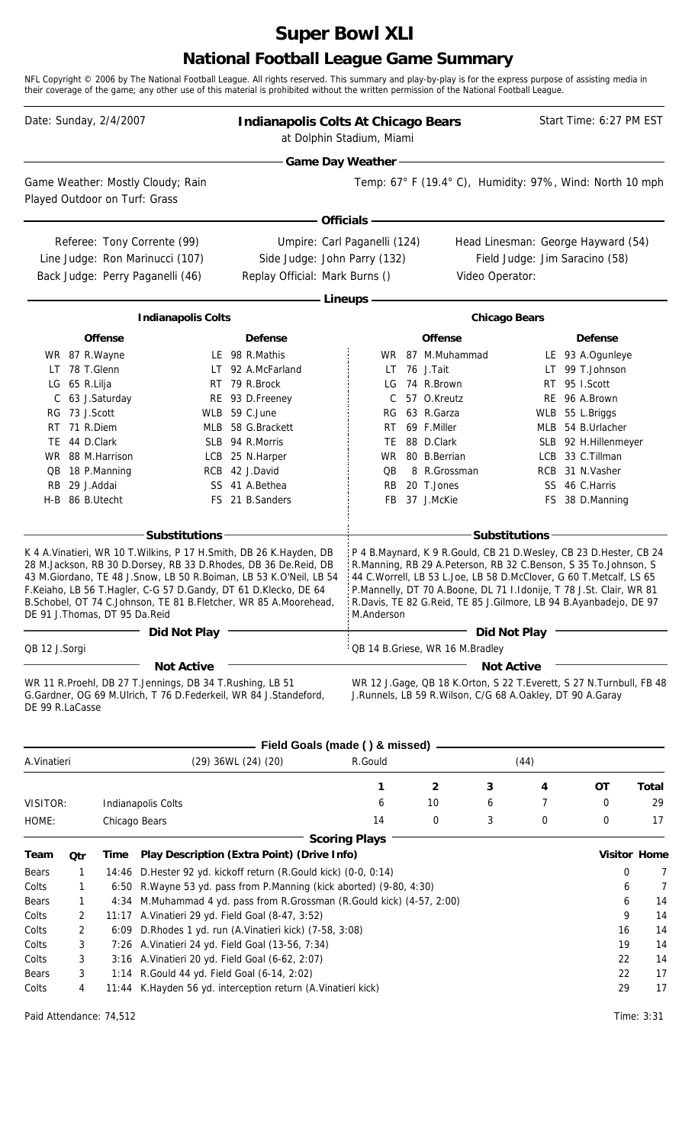# **Super Bowl XLI**

### **National Football League Game Summary**

NFL Copyright © 2006 by The National Football League. All rights reserved. This summary and play-by-play is for the express purpose of assisting media in their coverage of the game; any other use of this material is prohibited without the written permission of the National Football League.

| - Game Day Weather -<br>Temp: 67° F (19.4° C), Humidity: 97%, Wind: North 10 mph<br>Game Weather: Mostly Cloudy; Rain<br>Played Outdoor on Turf: Grass<br><b>Officials -</b><br>Referee: Tony Corrente (99)<br>Umpire: Carl Paganelli (124)<br>Head Linesman: George Hayward (54)<br>Line Judge: Ron Marinucci (107)<br>Side Judge: John Parry (132)<br>Field Judge: Jim Saracino (58)<br>Back Judge: Perry Paganelli (46)<br>Replay Official: Mark Burns ()<br>Video Operator:<br>- Lineups -<br><b>Indianapolis Colts</b><br><b>Chicago Bears</b><br><b>Offense</b><br><b>Defense</b><br>Offense<br><b>Defense</b><br>LE 98 R.Mathis<br>WR 87 M.Muhammad<br>LE 93 A.Ogunleye<br>WR 87 R.Wayne<br>LT 78 T.Glenn<br>LT 92 A.McFarland<br>76 J.Tait<br>LT 99 T.Johnson<br>LT.<br>74 R.Brown<br>RT 95 I.Scott<br>LG 65 R.Lilja<br>RT 79 R.Brock<br>LG<br>C 63 J.Saturday<br>57 O.Kreutz<br>RE 96 A.Brown<br>RE 93 D.Freeney<br>C<br>WLB 59 C.June<br>63 R.Garza<br>RG 73 J.Scott<br>WLB 55 L.Briggs<br><b>RG</b><br>MLB 54 B.Urlacher<br>RT 71 R.Diem<br>MLB 58 G.Brackett<br>69 F.Miller<br>RT<br>TE 44 D.Clark<br>SLB 94 R.Morris<br>TE 88 D.Clark<br>SLB 92 H.Hillenmeyer<br>LCB 33 C.Tillman<br>WR 88 M.Harrison<br>WR 80 B.Berrian<br>LCB 25 N.Harper<br>RCB 42 J.David<br>8 R.Grossman<br>RCB 31 N.Vasher<br>QB 18 P.Manning<br>QB<br>RB 29 J.Addai<br>SS 41 A.Bethea<br>20 T.Jones<br>SS 46 C.Harris<br><b>RB</b><br>FS 21 B.Sanders<br>FB 37 J.McKie<br>FS 38 D.Manning<br>H-B 86 B.Utecht<br>- Substitutions -<br>- Substitutions -<br>P 4 B.Maynard, K 9 R.Gould, CB 21 D.Wesley, CB 23 D.Hester, CB 24<br>K 4 A. Vinatieri, WR 10 T. Wilkins, P 17 H. Smith, DB 26 K. Hayden, DB<br>28 M.Jackson, RB 30 D.Dorsey, RB 33 D.Rhodes, DB 36 De.Reid, DB<br>R.Manning, RB 29 A.Peterson, RB 32 C.Benson, S 35 To.Johnson, S<br>43 M.Giordano, TE 48 J.Snow, LB 50 R.Boiman, LB 53 K.O'Neil, LB 54<br>44 C.Worrell, LB 53 L.Joe, LB 58 D.McClover, G 60 T.Metcalf, LS 65<br>F.Keiaho, LB 56 T.Hagler, C-G 57 D.Gandy, DT 61 D.Klecko, DE 64<br>P.Mannelly, DT 70 A.Boone, DL 71 I.Idonije, T 78 J.St. Clair, WR 81<br>B. Schobel, OT 74 C. Johnson, TE 81 B. Fletcher, WR 85 A. Moorehead,<br>R. Davis, TE 82 G. Reid, TE 85 J. Gilmore, LB 94 B. Ayanbadejo, DE 97<br>DE 91 J. Thomas, DT 95 Da. Reid<br>M.Anderson<br>Did Not Play<br>Did Not Play<br>QB 14 B.Griese, WR 16 M.Bradley<br>QB 12 J.Sorgi<br><b>Not Active</b><br><b>Not Active</b><br>WR 12 J.Gage, QB 18 K.Orton, S 22 T.Everett, S 27 N.Turnbull, FB 48<br>WR 11 R.Proehl, DB 27 T.Jennings, DB 34 T.Rushing, LB 51<br>G.Gardner, OG 69 M.Ulrich, T 76 D.Federkeil, WR 84 J.Standeford,<br>J.Runnels, LB 59 R.Wilson, C/G 68 A.Oakley, DT 90 A.Garay<br>DE 99 R.LaCasse<br>Field Goals (made () & missed)<br>R.Gould<br>(44)<br>A.Vinatieri<br>(29) 36WL (24) (20)<br>2<br>ОT<br>Total<br>1<br>3<br>4<br>10<br>0<br>29<br>6<br>7<br>VISITOR:<br><b>Indianapolis Colts</b><br>6<br>14<br>0<br>3<br>0<br>0<br>17<br>HOME:<br>Chicago Bears<br><b>Scoring Plays</b><br><b>Visitor Home</b><br>Play Description (Extra Point) (Drive Info)<br>Team<br><b>Qtr</b><br>Time<br>14:46 D. Hester 92 yd. kickoff return (R. Gould kick) (0-0, 0:14)<br>0<br>Bears<br>1<br>6:50 R. Wayne 53 yd. pass from P. Manning (kick aborted) (9-80, 4:30)<br>Colts<br>1<br>6<br>4:34 M.Muhammad 4 yd. pass from R.Grossman (R.Gould kick) (4-57, 2:00)<br>Bears<br>1<br>6<br>11:17 A. Vinatieri 29 yd. Field Goal (8-47, 3:52)<br>Colts<br>9<br>2<br>6:09 D.Rhodes 1 yd. run (A.Vinatieri kick) (7-58, 3:08)<br>Colts<br>2<br>16<br>Colts<br>7:26 A. Vinatieri 24 yd. Field Goal (13-56, 7:34)<br>19<br>3<br>3:16 A.Vinatieri 20 yd. Field Goal (6-62, 2:07) |       |   | Date: Sunday, 2/4/2007 | Indianapolis Colts At Chicago Bears | at Dolphin Stadium, Miami |  |  | Start Time: 6:27 PM EST |        |
|---------------------------------------------------------------------------------------------------------------------------------------------------------------------------------------------------------------------------------------------------------------------------------------------------------------------------------------------------------------------------------------------------------------------------------------------------------------------------------------------------------------------------------------------------------------------------------------------------------------------------------------------------------------------------------------------------------------------------------------------------------------------------------------------------------------------------------------------------------------------------------------------------------------------------------------------------------------------------------------------------------------------------------------------------------------------------------------------------------------------------------------------------------------------------------------------------------------------------------------------------------------------------------------------------------------------------------------------------------------------------------------------------------------------------------------------------------------------------------------------------------------------------------------------------------------------------------------------------------------------------------------------------------------------------------------------------------------------------------------------------------------------------------------------------------------------------------------------------------------------------------------------------------------------------------------------------------------------------------------------------------------------------------------------------------------------------------------------------------------------------------------------------------------------------------------------------------------------------------------------------------------------------------------------------------------------------------------------------------------------------------------------------------------------------------------------------------------------------------------------------------------------------------------------------------------------------------------------------------------------------------------------------------------------------------------------------------------------------------------------------------------------------------------------------------------------------------------------------------------------------------------------------------------------------------------------------------------------------------------------------------------------------------------------------------------------------------------------------------------------------------------------------------------------------------------------------------------------------------------------------------------------------------------------------------------------------------------------------------------------------------------------------------------------------------------------------------------------------------------------------------------------------------------------------------------------------------------------------------------------------------------------------------------------------------------------------------------|-------|---|------------------------|-------------------------------------|---------------------------|--|--|-------------------------|--------|
|                                                                                                                                                                                                                                                                                                                                                                                                                                                                                                                                                                                                                                                                                                                                                                                                                                                                                                                                                                                                                                                                                                                                                                                                                                                                                                                                                                                                                                                                                                                                                                                                                                                                                                                                                                                                                                                                                                                                                                                                                                                                                                                                                                                                                                                                                                                                                                                                                                                                                                                                                                                                                                                                                                                                                                                                                                                                                                                                                                                                                                                                                                                                                                                                                                                                                                                                                                                                                                                                                                                                                                                                                                                                                                               |       |   |                        |                                     |                           |  |  |                         |        |
|                                                                                                                                                                                                                                                                                                                                                                                                                                                                                                                                                                                                                                                                                                                                                                                                                                                                                                                                                                                                                                                                                                                                                                                                                                                                                                                                                                                                                                                                                                                                                                                                                                                                                                                                                                                                                                                                                                                                                                                                                                                                                                                                                                                                                                                                                                                                                                                                                                                                                                                                                                                                                                                                                                                                                                                                                                                                                                                                                                                                                                                                                                                                                                                                                                                                                                                                                                                                                                                                                                                                                                                                                                                                                                               |       |   |                        |                                     |                           |  |  |                         |        |
|                                                                                                                                                                                                                                                                                                                                                                                                                                                                                                                                                                                                                                                                                                                                                                                                                                                                                                                                                                                                                                                                                                                                                                                                                                                                                                                                                                                                                                                                                                                                                                                                                                                                                                                                                                                                                                                                                                                                                                                                                                                                                                                                                                                                                                                                                                                                                                                                                                                                                                                                                                                                                                                                                                                                                                                                                                                                                                                                                                                                                                                                                                                                                                                                                                                                                                                                                                                                                                                                                                                                                                                                                                                                                                               |       |   |                        |                                     |                           |  |  |                         |        |
|                                                                                                                                                                                                                                                                                                                                                                                                                                                                                                                                                                                                                                                                                                                                                                                                                                                                                                                                                                                                                                                                                                                                                                                                                                                                                                                                                                                                                                                                                                                                                                                                                                                                                                                                                                                                                                                                                                                                                                                                                                                                                                                                                                                                                                                                                                                                                                                                                                                                                                                                                                                                                                                                                                                                                                                                                                                                                                                                                                                                                                                                                                                                                                                                                                                                                                                                                                                                                                                                                                                                                                                                                                                                                                               |       |   |                        |                                     |                           |  |  |                         |        |
|                                                                                                                                                                                                                                                                                                                                                                                                                                                                                                                                                                                                                                                                                                                                                                                                                                                                                                                                                                                                                                                                                                                                                                                                                                                                                                                                                                                                                                                                                                                                                                                                                                                                                                                                                                                                                                                                                                                                                                                                                                                                                                                                                                                                                                                                                                                                                                                                                                                                                                                                                                                                                                                                                                                                                                                                                                                                                                                                                                                                                                                                                                                                                                                                                                                                                                                                                                                                                                                                                                                                                                                                                                                                                                               |       |   |                        |                                     |                           |  |  |                         |        |
|                                                                                                                                                                                                                                                                                                                                                                                                                                                                                                                                                                                                                                                                                                                                                                                                                                                                                                                                                                                                                                                                                                                                                                                                                                                                                                                                                                                                                                                                                                                                                                                                                                                                                                                                                                                                                                                                                                                                                                                                                                                                                                                                                                                                                                                                                                                                                                                                                                                                                                                                                                                                                                                                                                                                                                                                                                                                                                                                                                                                                                                                                                                                                                                                                                                                                                                                                                                                                                                                                                                                                                                                                                                                                                               |       |   |                        |                                     |                           |  |  |                         |        |
|                                                                                                                                                                                                                                                                                                                                                                                                                                                                                                                                                                                                                                                                                                                                                                                                                                                                                                                                                                                                                                                                                                                                                                                                                                                                                                                                                                                                                                                                                                                                                                                                                                                                                                                                                                                                                                                                                                                                                                                                                                                                                                                                                                                                                                                                                                                                                                                                                                                                                                                                                                                                                                                                                                                                                                                                                                                                                                                                                                                                                                                                                                                                                                                                                                                                                                                                                                                                                                                                                                                                                                                                                                                                                                               |       |   |                        |                                     |                           |  |  |                         |        |
|                                                                                                                                                                                                                                                                                                                                                                                                                                                                                                                                                                                                                                                                                                                                                                                                                                                                                                                                                                                                                                                                                                                                                                                                                                                                                                                                                                                                                                                                                                                                                                                                                                                                                                                                                                                                                                                                                                                                                                                                                                                                                                                                                                                                                                                                                                                                                                                                                                                                                                                                                                                                                                                                                                                                                                                                                                                                                                                                                                                                                                                                                                                                                                                                                                                                                                                                                                                                                                                                                                                                                                                                                                                                                                               |       |   |                        |                                     |                           |  |  |                         |        |
|                                                                                                                                                                                                                                                                                                                                                                                                                                                                                                                                                                                                                                                                                                                                                                                                                                                                                                                                                                                                                                                                                                                                                                                                                                                                                                                                                                                                                                                                                                                                                                                                                                                                                                                                                                                                                                                                                                                                                                                                                                                                                                                                                                                                                                                                                                                                                                                                                                                                                                                                                                                                                                                                                                                                                                                                                                                                                                                                                                                                                                                                                                                                                                                                                                                                                                                                                                                                                                                                                                                                                                                                                                                                                                               |       |   |                        |                                     |                           |  |  |                         |        |
|                                                                                                                                                                                                                                                                                                                                                                                                                                                                                                                                                                                                                                                                                                                                                                                                                                                                                                                                                                                                                                                                                                                                                                                                                                                                                                                                                                                                                                                                                                                                                                                                                                                                                                                                                                                                                                                                                                                                                                                                                                                                                                                                                                                                                                                                                                                                                                                                                                                                                                                                                                                                                                                                                                                                                                                                                                                                                                                                                                                                                                                                                                                                                                                                                                                                                                                                                                                                                                                                                                                                                                                                                                                                                                               |       |   |                        |                                     |                           |  |  |                         |        |
|                                                                                                                                                                                                                                                                                                                                                                                                                                                                                                                                                                                                                                                                                                                                                                                                                                                                                                                                                                                                                                                                                                                                                                                                                                                                                                                                                                                                                                                                                                                                                                                                                                                                                                                                                                                                                                                                                                                                                                                                                                                                                                                                                                                                                                                                                                                                                                                                                                                                                                                                                                                                                                                                                                                                                                                                                                                                                                                                                                                                                                                                                                                                                                                                                                                                                                                                                                                                                                                                                                                                                                                                                                                                                                               |       |   |                        |                                     |                           |  |  |                         |        |
|                                                                                                                                                                                                                                                                                                                                                                                                                                                                                                                                                                                                                                                                                                                                                                                                                                                                                                                                                                                                                                                                                                                                                                                                                                                                                                                                                                                                                                                                                                                                                                                                                                                                                                                                                                                                                                                                                                                                                                                                                                                                                                                                                                                                                                                                                                                                                                                                                                                                                                                                                                                                                                                                                                                                                                                                                                                                                                                                                                                                                                                                                                                                                                                                                                                                                                                                                                                                                                                                                                                                                                                                                                                                                                               |       |   |                        |                                     |                           |  |  |                         |        |
|                                                                                                                                                                                                                                                                                                                                                                                                                                                                                                                                                                                                                                                                                                                                                                                                                                                                                                                                                                                                                                                                                                                                                                                                                                                                                                                                                                                                                                                                                                                                                                                                                                                                                                                                                                                                                                                                                                                                                                                                                                                                                                                                                                                                                                                                                                                                                                                                                                                                                                                                                                                                                                                                                                                                                                                                                                                                                                                                                                                                                                                                                                                                                                                                                                                                                                                                                                                                                                                                                                                                                                                                                                                                                                               |       |   |                        |                                     |                           |  |  |                         |        |
|                                                                                                                                                                                                                                                                                                                                                                                                                                                                                                                                                                                                                                                                                                                                                                                                                                                                                                                                                                                                                                                                                                                                                                                                                                                                                                                                                                                                                                                                                                                                                                                                                                                                                                                                                                                                                                                                                                                                                                                                                                                                                                                                                                                                                                                                                                                                                                                                                                                                                                                                                                                                                                                                                                                                                                                                                                                                                                                                                                                                                                                                                                                                                                                                                                                                                                                                                                                                                                                                                                                                                                                                                                                                                                               |       |   |                        |                                     |                           |  |  |                         |        |
|                                                                                                                                                                                                                                                                                                                                                                                                                                                                                                                                                                                                                                                                                                                                                                                                                                                                                                                                                                                                                                                                                                                                                                                                                                                                                                                                                                                                                                                                                                                                                                                                                                                                                                                                                                                                                                                                                                                                                                                                                                                                                                                                                                                                                                                                                                                                                                                                                                                                                                                                                                                                                                                                                                                                                                                                                                                                                                                                                                                                                                                                                                                                                                                                                                                                                                                                                                                                                                                                                                                                                                                                                                                                                                               |       |   |                        |                                     |                           |  |  |                         |        |
|                                                                                                                                                                                                                                                                                                                                                                                                                                                                                                                                                                                                                                                                                                                                                                                                                                                                                                                                                                                                                                                                                                                                                                                                                                                                                                                                                                                                                                                                                                                                                                                                                                                                                                                                                                                                                                                                                                                                                                                                                                                                                                                                                                                                                                                                                                                                                                                                                                                                                                                                                                                                                                                                                                                                                                                                                                                                                                                                                                                                                                                                                                                                                                                                                                                                                                                                                                                                                                                                                                                                                                                                                                                                                                               |       |   |                        |                                     |                           |  |  |                         |        |
|                                                                                                                                                                                                                                                                                                                                                                                                                                                                                                                                                                                                                                                                                                                                                                                                                                                                                                                                                                                                                                                                                                                                                                                                                                                                                                                                                                                                                                                                                                                                                                                                                                                                                                                                                                                                                                                                                                                                                                                                                                                                                                                                                                                                                                                                                                                                                                                                                                                                                                                                                                                                                                                                                                                                                                                                                                                                                                                                                                                                                                                                                                                                                                                                                                                                                                                                                                                                                                                                                                                                                                                                                                                                                                               |       |   |                        |                                     |                           |  |  |                         |        |
|                                                                                                                                                                                                                                                                                                                                                                                                                                                                                                                                                                                                                                                                                                                                                                                                                                                                                                                                                                                                                                                                                                                                                                                                                                                                                                                                                                                                                                                                                                                                                                                                                                                                                                                                                                                                                                                                                                                                                                                                                                                                                                                                                                                                                                                                                                                                                                                                                                                                                                                                                                                                                                                                                                                                                                                                                                                                                                                                                                                                                                                                                                                                                                                                                                                                                                                                                                                                                                                                                                                                                                                                                                                                                                               |       |   |                        |                                     |                           |  |  |                         |        |
|                                                                                                                                                                                                                                                                                                                                                                                                                                                                                                                                                                                                                                                                                                                                                                                                                                                                                                                                                                                                                                                                                                                                                                                                                                                                                                                                                                                                                                                                                                                                                                                                                                                                                                                                                                                                                                                                                                                                                                                                                                                                                                                                                                                                                                                                                                                                                                                                                                                                                                                                                                                                                                                                                                                                                                                                                                                                                                                                                                                                                                                                                                                                                                                                                                                                                                                                                                                                                                                                                                                                                                                                                                                                                                               |       |   |                        |                                     |                           |  |  |                         |        |
|                                                                                                                                                                                                                                                                                                                                                                                                                                                                                                                                                                                                                                                                                                                                                                                                                                                                                                                                                                                                                                                                                                                                                                                                                                                                                                                                                                                                                                                                                                                                                                                                                                                                                                                                                                                                                                                                                                                                                                                                                                                                                                                                                                                                                                                                                                                                                                                                                                                                                                                                                                                                                                                                                                                                                                                                                                                                                                                                                                                                                                                                                                                                                                                                                                                                                                                                                                                                                                                                                                                                                                                                                                                                                                               |       |   |                        |                                     |                           |  |  |                         |        |
|                                                                                                                                                                                                                                                                                                                                                                                                                                                                                                                                                                                                                                                                                                                                                                                                                                                                                                                                                                                                                                                                                                                                                                                                                                                                                                                                                                                                                                                                                                                                                                                                                                                                                                                                                                                                                                                                                                                                                                                                                                                                                                                                                                                                                                                                                                                                                                                                                                                                                                                                                                                                                                                                                                                                                                                                                                                                                                                                                                                                                                                                                                                                                                                                                                                                                                                                                                                                                                                                                                                                                                                                                                                                                                               |       |   |                        |                                     |                           |  |  |                         |        |
|                                                                                                                                                                                                                                                                                                                                                                                                                                                                                                                                                                                                                                                                                                                                                                                                                                                                                                                                                                                                                                                                                                                                                                                                                                                                                                                                                                                                                                                                                                                                                                                                                                                                                                                                                                                                                                                                                                                                                                                                                                                                                                                                                                                                                                                                                                                                                                                                                                                                                                                                                                                                                                                                                                                                                                                                                                                                                                                                                                                                                                                                                                                                                                                                                                                                                                                                                                                                                                                                                                                                                                                                                                                                                                               |       |   |                        |                                     |                           |  |  |                         |        |
|                                                                                                                                                                                                                                                                                                                                                                                                                                                                                                                                                                                                                                                                                                                                                                                                                                                                                                                                                                                                                                                                                                                                                                                                                                                                                                                                                                                                                                                                                                                                                                                                                                                                                                                                                                                                                                                                                                                                                                                                                                                                                                                                                                                                                                                                                                                                                                                                                                                                                                                                                                                                                                                                                                                                                                                                                                                                                                                                                                                                                                                                                                                                                                                                                                                                                                                                                                                                                                                                                                                                                                                                                                                                                                               |       |   |                        |                                     |                           |  |  |                         |        |
|                                                                                                                                                                                                                                                                                                                                                                                                                                                                                                                                                                                                                                                                                                                                                                                                                                                                                                                                                                                                                                                                                                                                                                                                                                                                                                                                                                                                                                                                                                                                                                                                                                                                                                                                                                                                                                                                                                                                                                                                                                                                                                                                                                                                                                                                                                                                                                                                                                                                                                                                                                                                                                                                                                                                                                                                                                                                                                                                                                                                                                                                                                                                                                                                                                                                                                                                                                                                                                                                                                                                                                                                                                                                                                               |       |   |                        |                                     |                           |  |  |                         |        |
|                                                                                                                                                                                                                                                                                                                                                                                                                                                                                                                                                                                                                                                                                                                                                                                                                                                                                                                                                                                                                                                                                                                                                                                                                                                                                                                                                                                                                                                                                                                                                                                                                                                                                                                                                                                                                                                                                                                                                                                                                                                                                                                                                                                                                                                                                                                                                                                                                                                                                                                                                                                                                                                                                                                                                                                                                                                                                                                                                                                                                                                                                                                                                                                                                                                                                                                                                                                                                                                                                                                                                                                                                                                                                                               |       |   |                        |                                     |                           |  |  |                         |        |
|                                                                                                                                                                                                                                                                                                                                                                                                                                                                                                                                                                                                                                                                                                                                                                                                                                                                                                                                                                                                                                                                                                                                                                                                                                                                                                                                                                                                                                                                                                                                                                                                                                                                                                                                                                                                                                                                                                                                                                                                                                                                                                                                                                                                                                                                                                                                                                                                                                                                                                                                                                                                                                                                                                                                                                                                                                                                                                                                                                                                                                                                                                                                                                                                                                                                                                                                                                                                                                                                                                                                                                                                                                                                                                               |       |   |                        |                                     |                           |  |  |                         |        |
|                                                                                                                                                                                                                                                                                                                                                                                                                                                                                                                                                                                                                                                                                                                                                                                                                                                                                                                                                                                                                                                                                                                                                                                                                                                                                                                                                                                                                                                                                                                                                                                                                                                                                                                                                                                                                                                                                                                                                                                                                                                                                                                                                                                                                                                                                                                                                                                                                                                                                                                                                                                                                                                                                                                                                                                                                                                                                                                                                                                                                                                                                                                                                                                                                                                                                                                                                                                                                                                                                                                                                                                                                                                                                                               |       |   |                        |                                     |                           |  |  |                         |        |
|                                                                                                                                                                                                                                                                                                                                                                                                                                                                                                                                                                                                                                                                                                                                                                                                                                                                                                                                                                                                                                                                                                                                                                                                                                                                                                                                                                                                                                                                                                                                                                                                                                                                                                                                                                                                                                                                                                                                                                                                                                                                                                                                                                                                                                                                                                                                                                                                                                                                                                                                                                                                                                                                                                                                                                                                                                                                                                                                                                                                                                                                                                                                                                                                                                                                                                                                                                                                                                                                                                                                                                                                                                                                                                               |       |   |                        |                                     |                           |  |  |                         |        |
|                                                                                                                                                                                                                                                                                                                                                                                                                                                                                                                                                                                                                                                                                                                                                                                                                                                                                                                                                                                                                                                                                                                                                                                                                                                                                                                                                                                                                                                                                                                                                                                                                                                                                                                                                                                                                                                                                                                                                                                                                                                                                                                                                                                                                                                                                                                                                                                                                                                                                                                                                                                                                                                                                                                                                                                                                                                                                                                                                                                                                                                                                                                                                                                                                                                                                                                                                                                                                                                                                                                                                                                                                                                                                                               |       |   |                        |                                     |                           |  |  |                         |        |
|                                                                                                                                                                                                                                                                                                                                                                                                                                                                                                                                                                                                                                                                                                                                                                                                                                                                                                                                                                                                                                                                                                                                                                                                                                                                                                                                                                                                                                                                                                                                                                                                                                                                                                                                                                                                                                                                                                                                                                                                                                                                                                                                                                                                                                                                                                                                                                                                                                                                                                                                                                                                                                                                                                                                                                                                                                                                                                                                                                                                                                                                                                                                                                                                                                                                                                                                                                                                                                                                                                                                                                                                                                                                                                               |       |   |                        |                                     |                           |  |  |                         |        |
|                                                                                                                                                                                                                                                                                                                                                                                                                                                                                                                                                                                                                                                                                                                                                                                                                                                                                                                                                                                                                                                                                                                                                                                                                                                                                                                                                                                                                                                                                                                                                                                                                                                                                                                                                                                                                                                                                                                                                                                                                                                                                                                                                                                                                                                                                                                                                                                                                                                                                                                                                                                                                                                                                                                                                                                                                                                                                                                                                                                                                                                                                                                                                                                                                                                                                                                                                                                                                                                                                                                                                                                                                                                                                                               |       |   |                        |                                     |                           |  |  |                         |        |
|                                                                                                                                                                                                                                                                                                                                                                                                                                                                                                                                                                                                                                                                                                                                                                                                                                                                                                                                                                                                                                                                                                                                                                                                                                                                                                                                                                                                                                                                                                                                                                                                                                                                                                                                                                                                                                                                                                                                                                                                                                                                                                                                                                                                                                                                                                                                                                                                                                                                                                                                                                                                                                                                                                                                                                                                                                                                                                                                                                                                                                                                                                                                                                                                                                                                                                                                                                                                                                                                                                                                                                                                                                                                                                               |       |   |                        |                                     |                           |  |  |                         |        |
|                                                                                                                                                                                                                                                                                                                                                                                                                                                                                                                                                                                                                                                                                                                                                                                                                                                                                                                                                                                                                                                                                                                                                                                                                                                                                                                                                                                                                                                                                                                                                                                                                                                                                                                                                                                                                                                                                                                                                                                                                                                                                                                                                                                                                                                                                                                                                                                                                                                                                                                                                                                                                                                                                                                                                                                                                                                                                                                                                                                                                                                                                                                                                                                                                                                                                                                                                                                                                                                                                                                                                                                                                                                                                                               |       |   |                        |                                     |                           |  |  |                         |        |
|                                                                                                                                                                                                                                                                                                                                                                                                                                                                                                                                                                                                                                                                                                                                                                                                                                                                                                                                                                                                                                                                                                                                                                                                                                                                                                                                                                                                                                                                                                                                                                                                                                                                                                                                                                                                                                                                                                                                                                                                                                                                                                                                                                                                                                                                                                                                                                                                                                                                                                                                                                                                                                                                                                                                                                                                                                                                                                                                                                                                                                                                                                                                                                                                                                                                                                                                                                                                                                                                                                                                                                                                                                                                                                               |       |   |                        |                                     |                           |  |  |                         |        |
|                                                                                                                                                                                                                                                                                                                                                                                                                                                                                                                                                                                                                                                                                                                                                                                                                                                                                                                                                                                                                                                                                                                                                                                                                                                                                                                                                                                                                                                                                                                                                                                                                                                                                                                                                                                                                                                                                                                                                                                                                                                                                                                                                                                                                                                                                                                                                                                                                                                                                                                                                                                                                                                                                                                                                                                                                                                                                                                                                                                                                                                                                                                                                                                                                                                                                                                                                                                                                                                                                                                                                                                                                                                                                                               |       |   |                        |                                     |                           |  |  |                         |        |
|                                                                                                                                                                                                                                                                                                                                                                                                                                                                                                                                                                                                                                                                                                                                                                                                                                                                                                                                                                                                                                                                                                                                                                                                                                                                                                                                                                                                                                                                                                                                                                                                                                                                                                                                                                                                                                                                                                                                                                                                                                                                                                                                                                                                                                                                                                                                                                                                                                                                                                                                                                                                                                                                                                                                                                                                                                                                                                                                                                                                                                                                                                                                                                                                                                                                                                                                                                                                                                                                                                                                                                                                                                                                                                               |       |   |                        |                                     |                           |  |  |                         |        |
|                                                                                                                                                                                                                                                                                                                                                                                                                                                                                                                                                                                                                                                                                                                                                                                                                                                                                                                                                                                                                                                                                                                                                                                                                                                                                                                                                                                                                                                                                                                                                                                                                                                                                                                                                                                                                                                                                                                                                                                                                                                                                                                                                                                                                                                                                                                                                                                                                                                                                                                                                                                                                                                                                                                                                                                                                                                                                                                                                                                                                                                                                                                                                                                                                                                                                                                                                                                                                                                                                                                                                                                                                                                                                                               |       |   |                        |                                     |                           |  |  |                         |        |
|                                                                                                                                                                                                                                                                                                                                                                                                                                                                                                                                                                                                                                                                                                                                                                                                                                                                                                                                                                                                                                                                                                                                                                                                                                                                                                                                                                                                                                                                                                                                                                                                                                                                                                                                                                                                                                                                                                                                                                                                                                                                                                                                                                                                                                                                                                                                                                                                                                                                                                                                                                                                                                                                                                                                                                                                                                                                                                                                                                                                                                                                                                                                                                                                                                                                                                                                                                                                                                                                                                                                                                                                                                                                                                               |       |   |                        |                                     |                           |  |  |                         |        |
|                                                                                                                                                                                                                                                                                                                                                                                                                                                                                                                                                                                                                                                                                                                                                                                                                                                                                                                                                                                                                                                                                                                                                                                                                                                                                                                                                                                                                                                                                                                                                                                                                                                                                                                                                                                                                                                                                                                                                                                                                                                                                                                                                                                                                                                                                                                                                                                                                                                                                                                                                                                                                                                                                                                                                                                                                                                                                                                                                                                                                                                                                                                                                                                                                                                                                                                                                                                                                                                                                                                                                                                                                                                                                                               |       |   |                        |                                     |                           |  |  |                         | 7<br>7 |
|                                                                                                                                                                                                                                                                                                                                                                                                                                                                                                                                                                                                                                                                                                                                                                                                                                                                                                                                                                                                                                                                                                                                                                                                                                                                                                                                                                                                                                                                                                                                                                                                                                                                                                                                                                                                                                                                                                                                                                                                                                                                                                                                                                                                                                                                                                                                                                                                                                                                                                                                                                                                                                                                                                                                                                                                                                                                                                                                                                                                                                                                                                                                                                                                                                                                                                                                                                                                                                                                                                                                                                                                                                                                                                               |       |   |                        |                                     |                           |  |  |                         | 14     |
|                                                                                                                                                                                                                                                                                                                                                                                                                                                                                                                                                                                                                                                                                                                                                                                                                                                                                                                                                                                                                                                                                                                                                                                                                                                                                                                                                                                                                                                                                                                                                                                                                                                                                                                                                                                                                                                                                                                                                                                                                                                                                                                                                                                                                                                                                                                                                                                                                                                                                                                                                                                                                                                                                                                                                                                                                                                                                                                                                                                                                                                                                                                                                                                                                                                                                                                                                                                                                                                                                                                                                                                                                                                                                                               |       |   |                        |                                     |                           |  |  |                         | 14     |
|                                                                                                                                                                                                                                                                                                                                                                                                                                                                                                                                                                                                                                                                                                                                                                                                                                                                                                                                                                                                                                                                                                                                                                                                                                                                                                                                                                                                                                                                                                                                                                                                                                                                                                                                                                                                                                                                                                                                                                                                                                                                                                                                                                                                                                                                                                                                                                                                                                                                                                                                                                                                                                                                                                                                                                                                                                                                                                                                                                                                                                                                                                                                                                                                                                                                                                                                                                                                                                                                                                                                                                                                                                                                                                               |       |   |                        |                                     |                           |  |  |                         | 14     |
|                                                                                                                                                                                                                                                                                                                                                                                                                                                                                                                                                                                                                                                                                                                                                                                                                                                                                                                                                                                                                                                                                                                                                                                                                                                                                                                                                                                                                                                                                                                                                                                                                                                                                                                                                                                                                                                                                                                                                                                                                                                                                                                                                                                                                                                                                                                                                                                                                                                                                                                                                                                                                                                                                                                                                                                                                                                                                                                                                                                                                                                                                                                                                                                                                                                                                                                                                                                                                                                                                                                                                                                                                                                                                                               |       |   |                        |                                     |                           |  |  |                         | 14     |
|                                                                                                                                                                                                                                                                                                                                                                                                                                                                                                                                                                                                                                                                                                                                                                                                                                                                                                                                                                                                                                                                                                                                                                                                                                                                                                                                                                                                                                                                                                                                                                                                                                                                                                                                                                                                                                                                                                                                                                                                                                                                                                                                                                                                                                                                                                                                                                                                                                                                                                                                                                                                                                                                                                                                                                                                                                                                                                                                                                                                                                                                                                                                                                                                                                                                                                                                                                                                                                                                                                                                                                                                                                                                                                               | Colts | 3 |                        |                                     |                           |  |  | 22                      | 14     |

Bears 3 1:14 R.Gould 44 yd. Field Goal (6-14, 2:02) 22 17

Colts 4 11:44 K.Hayden 56 yd. interception return (A.Vinatieri kick) 29 17

Paid Attendance: 74,512 Time: 3:31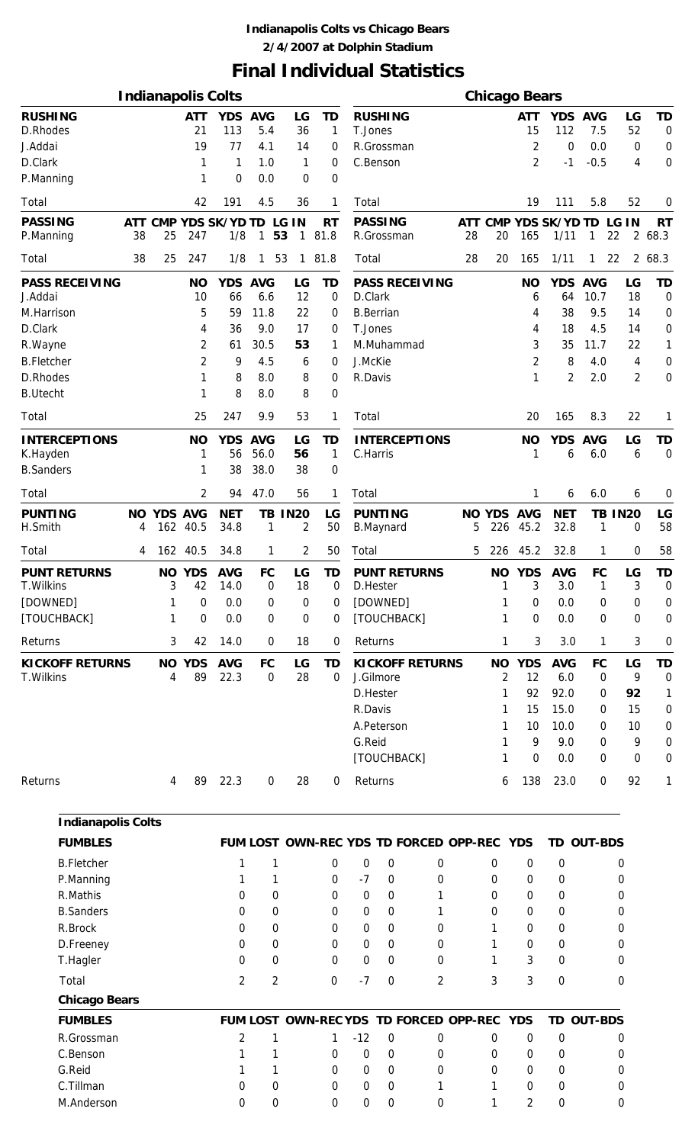### **Indianapolis Colts vs Chicago Bears 2/4/2007 at Dolphin Stadium**

# **Final Individual Statistics**

|                                      |          |                |                     | <b>Indianapolis Colts</b>  |                          |                                          |              |          |                                        |                |          |                   | <b>Chicago Bears</b> |                            |                          |                |                          |
|--------------------------------------|----------|----------------|---------------------|----------------------------|--------------------------|------------------------------------------|--------------|----------|----------------------------------------|----------------|----------|-------------------|----------------------|----------------------------|--------------------------|----------------|--------------------------|
| <b>RUSHING</b><br>D.Rhodes           |          |                | <b>ATT</b><br>21    | YDS AVG<br>113             | 5.4                      | LG<br>36                                 | TD<br>1      | T.Jones  | <b>RUSHING</b>                         |                |          |                   | <b>ATT</b><br>15     | YDS AVG<br>112             | 7.5                      | LG<br>52       | <b>TD</b><br>$\mathbf 0$ |
| J.Addai                              |          |                | 19                  | 77                         | 4.1                      | 14                                       | 0            |          | R.Grossman                             |                |          |                   | 2                    | 0                          | 0.0                      | 0              | $\mathbf 0$              |
| D.Clark                              |          |                | 1                   | 1                          | 1.0                      | 1                                        | 0            |          | C.Benson                               |                |          |                   | $\overline{2}$       | $-1$                       | $-0.5$                   | 4              | $\mathbf 0$              |
| P.Manning                            |          |                |                     | 0                          | 0.0                      | 0                                        | 0            |          |                                        |                |          |                   |                      |                            |                          |                |                          |
| Total                                |          |                | 42                  | 191                        | 4.5                      | 36                                       | 1            | Total    |                                        |                |          |                   | 19                   | 111                        | 5.8                      | 52             | 0                        |
| <b>PASSING</b>                       |          |                |                     | ATT CMP YDS SK/YD TD LG IN |                          |                                          | <b>RT</b>    |          | <b>PASSING</b>                         |                |          |                   |                      | ATT CMP YDS SK/YD TD LG IN |                          |                | <b>RT</b>                |
| P.Manning<br>Total                   | 38<br>38 | 25<br>25       | 247<br>247          | 1/8<br>1/8                 | $\mathbf{1}$<br>1        | 53<br>$\mathbf{1}$<br>53<br>$\mathbf{1}$ | 81.8<br>81.8 | Total    | R.Grossman                             |                | 28<br>28 | 20<br>20          | 165<br>165           | 1/11<br>1/11               | 1<br>1                   | 22<br>22       | 2 68.3<br>2 68.3         |
| <b>PASS RECEIVING</b>                |          |                | <b>NO</b>           | <b>YDS</b>                 | <b>AVG</b>               | LG                                       | TD           |          | <b>PASS RECEIVING</b>                  |                |          |                   | <b>NO</b>            | <b>YDS</b>                 | <b>AVG</b>               | LG             | <b>TD</b>                |
| J.Addai                              |          |                | 10                  | 66                         | 6.6                      | 12                                       | 0            | D.Clark  |                                        |                |          |                   | 6                    | 64                         | 10.7                     | 18             | $\mathbf 0$              |
| M.Harrison                           |          |                | 5                   | 59                         | 11.8                     | 22                                       | 0            |          | <b>B.Berrian</b>                       |                |          |                   | 4                    | 38                         | 9.5                      | 14             | $\mathbf 0$              |
| D.Clark                              |          |                | 4                   | 36                         | 9.0                      | 17                                       | 0            | T.Jones  |                                        |                |          |                   | 4                    | 18                         | 4.5                      | 14             | $\mathbf 0$              |
| R. Wayne                             |          |                | 2                   | 61                         | 30.5                     | 53                                       | 1            |          | M.Muhammad                             |                |          |                   | 3                    | 35                         | 11.7                     | 22             | 1                        |
| <b>B.Fletcher</b>                    |          |                | 2                   | 9                          | 4.5                      | 6                                        | 0            | J.McKie  |                                        |                |          |                   | $\overline{2}$       | 8                          | 4.0                      | 4              | $\mathbf 0$              |
| D.Rhodes                             |          |                | 1                   | 8                          | 8.0                      | 8                                        | 0            | R.Davis  |                                        |                |          |                   | 1                    | 2                          | 2.0                      | $\overline{2}$ | 0                        |
| <b>B.Utecht</b>                      |          |                |                     | 8                          | 8.0                      | 8                                        | 0            |          |                                        |                |          |                   |                      |                            |                          |                |                          |
| Total                                |          |                | 25                  | 247                        | 9.9                      | 53                                       | 1            | Total    |                                        |                |          |                   | 20                   | 165                        | 8.3                      | 22             | 1                        |
| <b>INTERCEPTIONS</b>                 |          |                | <b>NO</b>           | YDS AVG                    |                          | LG                                       | TD           |          | <b>INTERCEPTIONS</b>                   |                |          |                   | <b>NO</b>            | <b>YDS</b>                 | <b>AVG</b>               | LG             | <b>TD</b>                |
| K.Hayden<br><b>B.Sanders</b>         |          |                | 1                   | 56<br>38                   | 56.0<br>38.0             | 56<br>38                                 | 1<br>0       | C.Harris |                                        |                |          |                   | 1                    | 6                          | 6.0                      | 6              | $\overline{0}$           |
| Total                                |          |                | 2                   | 94                         | 47.0                     | 56                                       | 1            | Total    |                                        |                |          |                   | 1                    | 6                          | 6.0                      | 6              | 0                        |
| <b>PUNTING</b>                       | NO.      | <b>YDS AVG</b> |                     | <b>NET</b>                 |                          | <b>TB IN20</b>                           | LG           |          | <b>PUNTING</b>                         |                |          | <b>NO YDS AVG</b> |                      | <b>NET</b>                 |                          | <b>TB IN20</b> | LG                       |
| H.Smith                              | 4        |                | 162 40.5            | 34.8                       | 1                        | 2                                        | 50           |          | <b>B.Maynard</b>                       |                | 5        | 226               | 45.2                 | 32.8                       | 1                        | 0              | 58                       |
| Total                                | 4        |                | 162 40.5            | 34.8                       | 1                        | 2                                        | 50           | Total    |                                        |                | 5        | 226               | 45.2                 | 32.8                       | 1                        | 0              | 58                       |
| <b>PUNT RETURNS</b>                  |          |                | <b>NO YDS</b>       | <b>AVG</b>                 | <b>FC</b>                | LG                                       | TD           |          | <b>PUNT RETURNS</b>                    |                |          | <b>NO</b>         | <b>YDS</b>           | <b>AVG</b>                 | FC                       | LG             | <b>TD</b>                |
| T. Wilkins                           |          | 3              | 42                  | 14.0                       | $\mathbf 0$              | 18                                       | 0            |          | D.Hester                               |                |          | 1                 | 3                    | 3.0                        | $\mathbf{1}$             | 3              | $\overline{0}$           |
| [DOWNED]                             |          |                | $\boldsymbol{0}$    | 0.0                        | 0                        | 0                                        | 0            |          | [DOWNED]                               |                |          |                   | $\mathbf 0$          | 0.0                        | $\boldsymbol{0}$         | 0              | 0                        |
| [TOUCHBACK]                          |          | 1              | 0                   | 0.0                        | 0                        | 0                                        | 0            |          | [TOUCHBACK]                            |                |          | 1                 | 0                    | 0.0                        | 0                        | 0              | $\mathbf 0$              |
| Returns                              |          | 3              | 42                  | 14.0                       | 0                        | 18                                       | 0            | Returns  |                                        |                |          | 1                 | 3                    | 3.0                        | 1                        | 3              | $\mathbf 0$              |
| <b>KICKOFF RETURNS</b><br>T. Wilkins |          | 4              | <b>NO YDS</b><br>89 | <b>AVG</b><br>22.3         | <b>FC</b><br>$\mathbf 0$ | LG<br>28                                 | TD<br>0      |          | <b>KICKOFF RETURNS</b><br>J.Gilmore    |                |          | <b>NO</b><br>2    | <b>YDS</b><br>12     | <b>AVG</b><br>6.0          | <b>FC</b><br>$\mathbf 0$ | LG<br>9        | <b>TD</b><br>0           |
|                                      |          |                |                     |                            |                          |                                          |              |          | D.Hester                               |                |          | 1                 | 92                   | 92.0                       | 0                        | 92             | 1                        |
|                                      |          |                |                     |                            |                          |                                          |              | R.Davis  |                                        |                |          | 1                 | 15                   | 15.0                       | 0                        | 15             | 0                        |
|                                      |          |                |                     |                            |                          |                                          |              |          | A.Peterson                             |                |          | 1                 | 10                   | 10.0                       | 0                        | 10             | 0                        |
|                                      |          |                |                     |                            |                          |                                          |              | G.Reid   |                                        |                |          | 1                 | 9                    | 9.0                        | 0                        | 9              | $\mathbf 0$              |
|                                      |          |                |                     |                            |                          |                                          |              |          | [TOUCHBACK]                            |                |          | 1                 | 0                    | 0.0                        | 0                        | 0              | $\mathbf 0$              |
| Returns                              |          | 4              | 89                  | 22.3                       | 0                        | 28                                       | 0            | Returns  |                                        |                |          | 6                 | 138                  | 23.0                       | 0                        | 92             | 1                        |
|                                      |          |                |                     |                            |                          |                                          |              |          |                                        |                |          |                   |                      |                            |                          |                |                          |
| <b>Indianapolis Colts</b>            |          |                |                     |                            |                          |                                          |              |          |                                        |                |          |                   |                      |                            |                          |                |                          |
| <b>FUMBLES</b>                       |          |                |                     |                            |                          |                                          |              |          | FUM LOST OWN-REC YDS TD FORCED OPP-REC |                |          |                   | <b>YDS</b>           | TD OUT-BDS                 |                          |                |                          |
| <b>B.Fletcher</b>                    |          |                |                     | 1                          | 1                        |                                          | 0            | 0        | $\mathbf 0$                            | 0              |          | $\mathbf 0$       | $\boldsymbol{0}$     | $\boldsymbol{0}$           |                          | 0              |                          |
| P.Manning                            |          |                |                     | 1                          | 1                        |                                          | 0            | $-7$     | 0                                      | 0              |          | 0                 | 0                    | 0                          |                          | 0              |                          |
| R.Mathis                             |          |                |                     | 0                          | 0                        |                                          | 0            | 0        | 0                                      | 1              |          | 0                 | 0                    | 0                          |                          | 0              |                          |
| <b>B.Sanders</b>                     |          |                |                     | 0                          | 0                        |                                          | 0            | 0        | 0                                      | 1              |          | 0                 | 0                    | 0                          |                          | 0              |                          |
| R.Brock                              |          |                |                     | 0                          | 0                        |                                          | 0            | 0        | $\mathbf 0$                            | 0              |          | 1                 | $\boldsymbol{0}$     | 0                          |                          | 0              |                          |
| D.Freeney                            |          |                |                     | 0                          | 0                        |                                          | 0            | 0        | 0                                      | 0              |          | 1                 | 0                    | 0                          |                          | 0              |                          |
| T.Hagler                             |          |                |                     | $\boldsymbol{0}$           | 0                        |                                          | 0            | 0        | 0                                      | 0              |          | 1                 | 3                    | $\boldsymbol{0}$           |                          | 0              |                          |
| Total                                |          |                |                     | $\overline{2}$             | $\overline{2}$           |                                          | 0            | $-7$     | $\mathbf 0$                            | $\overline{2}$ |          | 3                 | 3                    | $\boldsymbol{0}$           |                          | 0              |                          |
| <b>Chicago Bears</b>                 |          |                |                     |                            |                          |                                          |              |          |                                        |                |          |                   |                      |                            |                          |                |                          |
| <b>FUMBLES</b>                       |          |                |                     |                            |                          |                                          |              |          | FUM LOST OWN-REC YDS TD FORCED OPP-REC |                |          |                   | <b>YDS</b>           | TD OUT-BDS                 |                          |                |                          |
| R.Grossman                           |          |                |                     | $\overline{2}$             | 1                        |                                          | 1            | $-12$    | $\mathbf 0$                            | 0              |          | 0                 | 0                    | $\boldsymbol{0}$           |                          | 0              |                          |
| C.Benson                             |          |                |                     |                            | 1                        |                                          | 0            | 0        | 0                                      | 0              |          | 0                 | 0                    | 0                          |                          | 0              |                          |
| G.Reid                               |          |                |                     |                            | 1                        |                                          | 0            | 0        | 0                                      | 0              |          | 0                 | 0                    | 0                          |                          | 0              |                          |
| C.Tillman                            |          |                |                     | 0                          | 0                        |                                          | 0            | 0        | 0                                      | 1              |          | 1                 | 0                    | 0                          |                          | 0              |                          |
| M.Anderson                           |          |                |                     | $\Omega$                   | 0                        |                                          | 0            | 0        | 0                                      | 0              |          | 1                 | $\overline{2}$       | 0                          |                          | 0              |                          |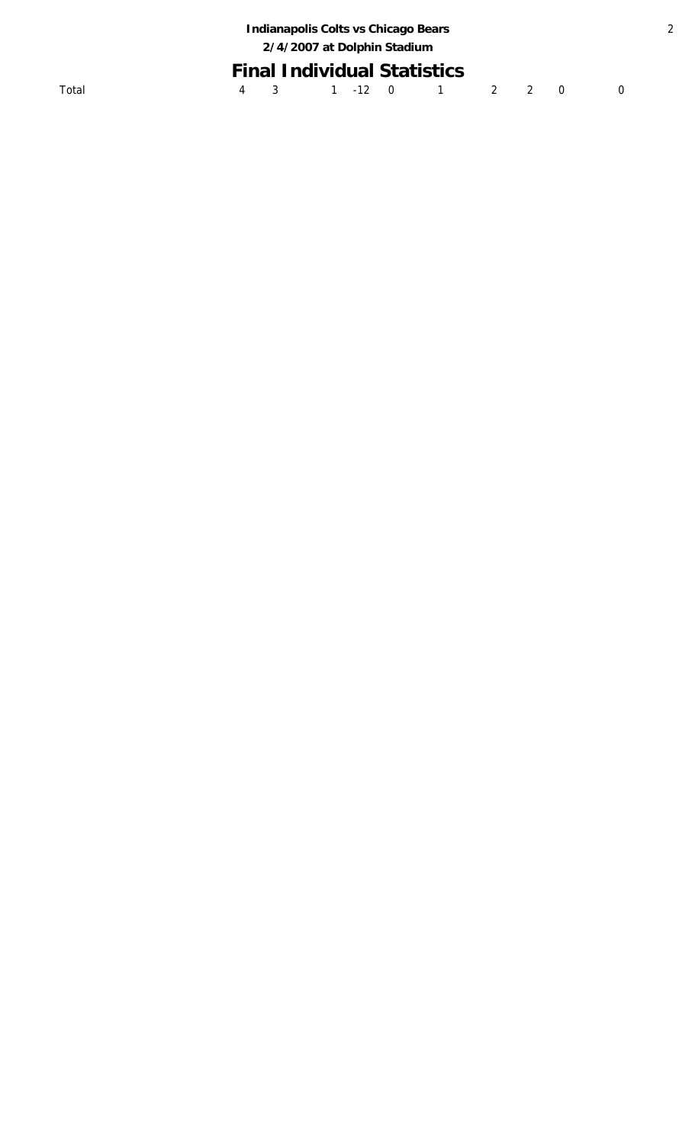|  | Indianapolis Colts vs Chicago Bears<br>2/4/2007 at Dolphin Stadium |  |                                    |  |  |
|--|--------------------------------------------------------------------|--|------------------------------------|--|--|
|  |                                                                    |  | <b>Final Individual Statistics</b> |  |  |
|  |                                                                    |  | 4 3 1 -12 0 1 2 2 0                |  |  |
|  |                                                                    |  |                                    |  |  |

2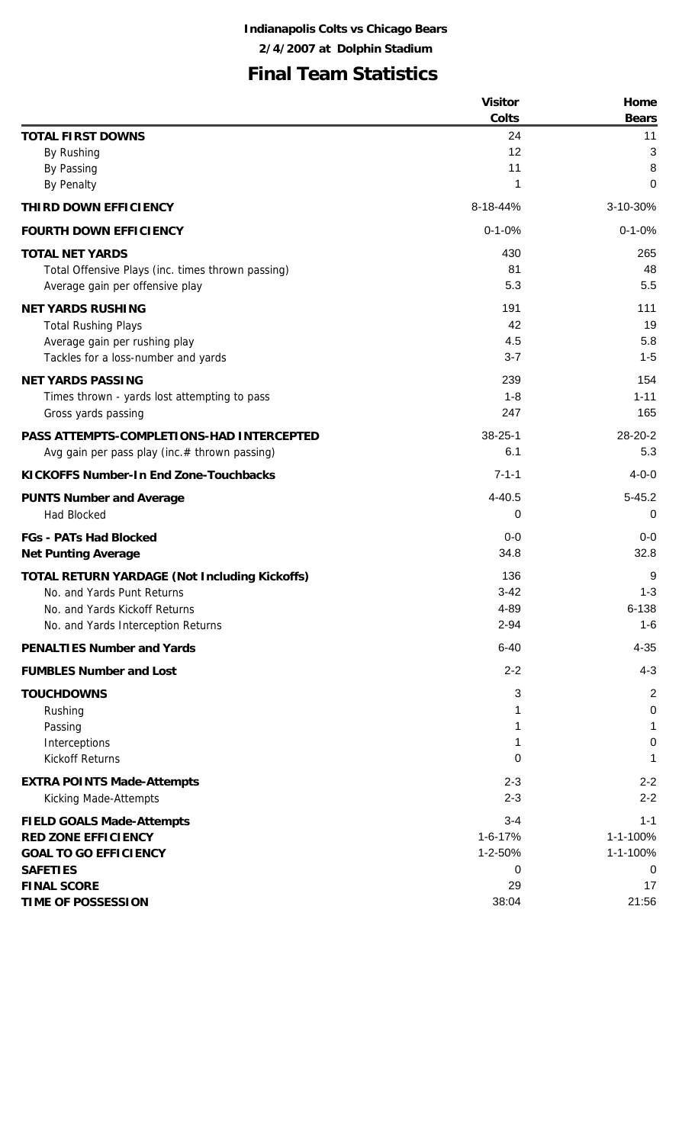# **Final Team Statistics**

|                                                      | <b>Visitor</b> | Home           |
|------------------------------------------------------|----------------|----------------|
|                                                      | Colts          | <b>Bears</b>   |
| <b>TOTAL FIRST DOWNS</b>                             | 24             | 11             |
| By Rushing                                           | 12             | 3              |
| <b>By Passing</b>                                    | 11             | 8              |
| <b>By Penalty</b>                                    | 1              | 0              |
| THIRD DOWN EFFICIENCY                                | 8-18-44%       | 3-10-30%       |
| <b>FOURTH DOWN EFFICIENCY</b>                        | $0 - 1 - 0%$   | $0 - 1 - 0%$   |
| <b>TOTAL NET YARDS</b>                               | 430            | 265            |
| Total Offensive Plays (inc. times thrown passing)    | 81             | 48             |
| Average gain per offensive play                      | 5.3            | 5.5            |
| <b>NET YARDS RUSHING</b>                             | 191            | 111            |
| <b>Total Rushing Plays</b>                           | 42             | 19             |
| Average gain per rushing play                        | 4.5            | 5.8            |
| Tackles for a loss-number and yards                  | $3 - 7$        | $1 - 5$        |
| <b>NET YARDS PASSING</b>                             | 239            | 154            |
| Times thrown - yards lost attempting to pass         | $1 - 8$        | $1 - 11$       |
| Gross yards passing                                  | 247            | 165            |
| PASS ATTEMPTS-COMPLETIONS-HAD INTERCEPTED            | $38 - 25 - 1$  | 28-20-2        |
| Avg gain per pass play (inc.# thrown passing)        | 6.1            | 5.3            |
| <b>KICKOFFS Number-In End Zone-Touchbacks</b>        | $7 - 1 - 1$    | $4 - 0 - 0$    |
| <b>PUNTS Number and Average</b>                      | $4 - 40.5$     | $5 - 45.2$     |
| <b>Had Blocked</b>                                   | 0              | 0              |
| <b>FGs - PATs Had Blocked</b>                        | $0-0$          | $0-0$          |
| <b>Net Punting Average</b>                           | 34.8           | 32.8           |
| <b>TOTAL RETURN YARDAGE (Not Including Kickoffs)</b> | 136            | 9              |
| No. and Yards Punt Returns                           | $3 - 42$       | $1 - 3$        |
| No. and Yards Kickoff Returns                        | 4-89           | $6 - 138$      |
| No. and Yards Interception Returns                   | $2 - 94$       | 1-6            |
| <b>PENALTIES Number and Yards</b>                    | $6 - 40$       | $4 - 35$       |
| <b>FUMBLES Number and Lost</b>                       | $2 - 2$        | $4 - 3$        |
| <b>TOUCHDOWNS</b>                                    | 3              | $\overline{2}$ |
| Rushing                                              |                | 0              |
| Passing                                              | 1              | 1              |
| Interceptions                                        | 1              | 0              |
| <b>Kickoff Returns</b>                               | 0              | 1              |
| <b>EXTRA POINTS Made-Attempts</b>                    | $2 - 3$        | $2 - 2$        |
| Kicking Made-Attempts                                | $2 - 3$        | $2 - 2$        |
| <b>FIELD GOALS Made-Attempts</b>                     | $3 - 4$        | $1 - 1$        |
| <b>RED ZONE EFFICIENCY</b>                           | $1 - 6 - 17%$  | 1-1-100%       |
| <b>GOAL TO GO EFFICIENCY</b>                         | 1-2-50%        | 1-1-100%       |
| <b>SAFETIES</b>                                      | 0              | 0              |
| <b>FINAL SCORE</b>                                   | 29             | 17             |
| <b>TIME OF POSSESSION</b>                            | 38:04          | 21:56          |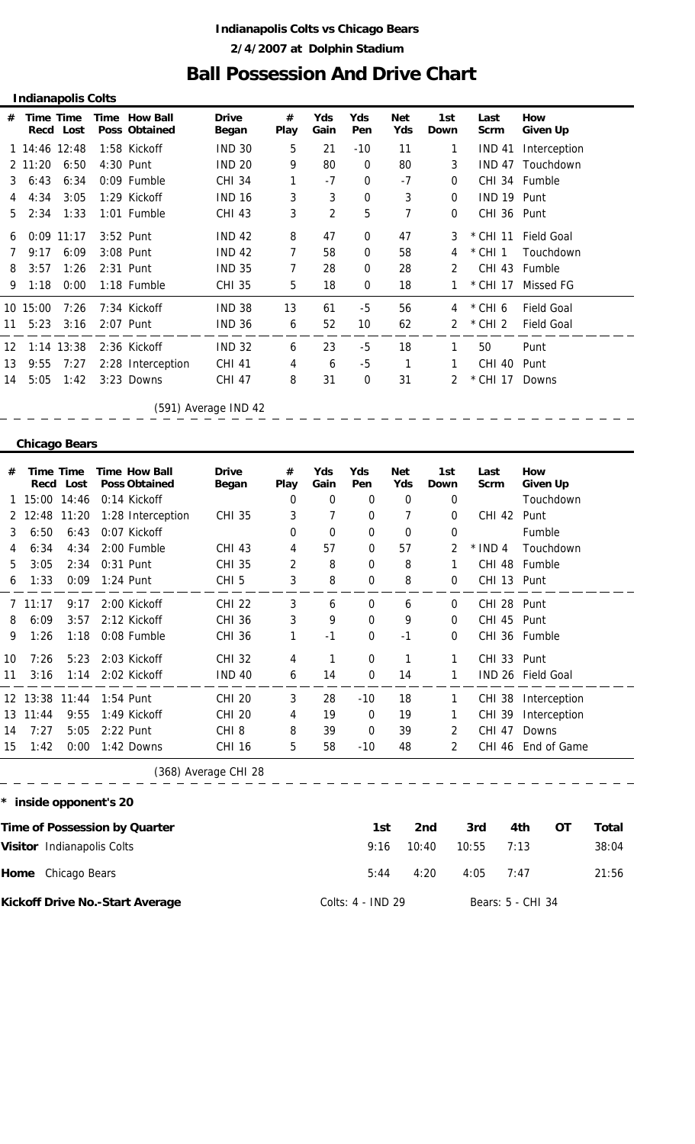### **Indianapolis Colts vs Chicago Bears 2/4/2007 at Dolphin Stadium**

### **Ball Possession And Drive Chart**

|    |          | <b>Indianapolis Colts</b><br><b>Drive</b><br><b>Yds</b><br>Yds<br>Time Time<br>Time How Ball<br>#<br><b>Net</b><br>1st<br>How<br>Last<br><b>Poss Obtained</b><br>Play<br>Yds<br>Recd Lost<br>Pen<br>Began<br>Gain<br>Down<br>Given Up<br>Scrm<br>5<br><b>IND 30</b><br>1 14:46 12:48<br>21<br><b>IND 41</b><br>1:58 Kickoff<br>$-10$<br>11<br>1<br>Interception<br><b>IND 20</b><br>9<br>80<br>6:50<br>4:30 Punt<br>$\mathbf 0$<br>80<br>3<br><b>IND 47</b><br>Touchdown<br>$-7$<br><b>CHI 34</b><br>0<br>$-7$<br>6:34<br>0:09 Fumble<br>CHI 34 Fumble<br>0<br>3<br>3<br><b>IND 16</b><br>0<br>3<br>3:05<br>1:29 Kickoff<br>IND 19 Punt<br>$\Omega$<br>5<br>3<br>$\overline{2}$<br>7<br>1:33<br>1:01 Fumble<br><b>CHI 43</b><br>CHI 36 Punt<br>0<br>8<br>47<br>3:52 Punt<br><b>IND 42</b><br>0<br>47<br>$0:09$ 11:17<br>3<br>$*$ CHI 11<br><b>Field Goal</b><br><b>IND 42</b><br>7<br>6:09<br>3:08 Punt<br>58<br>0<br>$*$ CHI 1<br>58<br>Touchdown<br>4<br>1:26<br>2:31 Punt<br><b>IND 35</b><br>7<br>28<br>0<br>CHI 43<br>28<br>$\mathcal{P}$<br>Fumble |  |                   |               |    |    |      |    |   |           |                   |  |  |  |
|----|----------|----------------------------------------------------------------------------------------------------------------------------------------------------------------------------------------------------------------------------------------------------------------------------------------------------------------------------------------------------------------------------------------------------------------------------------------------------------------------------------------------------------------------------------------------------------------------------------------------------------------------------------------------------------------------------------------------------------------------------------------------------------------------------------------------------------------------------------------------------------------------------------------------------------------------------------------------------------------------------------------------------------------------------------------------------------|--|-------------------|---------------|----|----|------|----|---|-----------|-------------------|--|--|--|
| #  |          |                                                                                                                                                                                                                                                                                                                                                                                                                                                                                                                                                                                                                                                                                                                                                                                                                                                                                                                                                                                                                                                          |  |                   |               |    |    |      |    |   |           |                   |  |  |  |
|    |          |                                                                                                                                                                                                                                                                                                                                                                                                                                                                                                                                                                                                                                                                                                                                                                                                                                                                                                                                                                                                                                                          |  |                   |               |    |    |      |    |   |           |                   |  |  |  |
|    | 2 11:20  |                                                                                                                                                                                                                                                                                                                                                                                                                                                                                                                                                                                                                                                                                                                                                                                                                                                                                                                                                                                                                                                          |  |                   |               |    |    |      |    |   |           |                   |  |  |  |
| 3  | 6:43     |                                                                                                                                                                                                                                                                                                                                                                                                                                                                                                                                                                                                                                                                                                                                                                                                                                                                                                                                                                                                                                                          |  |                   |               |    |    |      |    |   |           |                   |  |  |  |
| 4  | 4:34     |                                                                                                                                                                                                                                                                                                                                                                                                                                                                                                                                                                                                                                                                                                                                                                                                                                                                                                                                                                                                                                                          |  |                   |               |    |    |      |    |   |           |                   |  |  |  |
| 5  | 2:34     |                                                                                                                                                                                                                                                                                                                                                                                                                                                                                                                                                                                                                                                                                                                                                                                                                                                                                                                                                                                                                                                          |  |                   |               |    |    |      |    |   |           |                   |  |  |  |
| 6  |          |                                                                                                                                                                                                                                                                                                                                                                                                                                                                                                                                                                                                                                                                                                                                                                                                                                                                                                                                                                                                                                                          |  |                   |               |    |    |      |    |   |           |                   |  |  |  |
| 7  | 9:17     |                                                                                                                                                                                                                                                                                                                                                                                                                                                                                                                                                                                                                                                                                                                                                                                                                                                                                                                                                                                                                                                          |  |                   |               |    |    |      |    |   |           |                   |  |  |  |
| 8  | 3:57     |                                                                                                                                                                                                                                                                                                                                                                                                                                                                                                                                                                                                                                                                                                                                                                                                                                                                                                                                                                                                                                                          |  |                   |               |    |    |      |    |   |           |                   |  |  |  |
| 9  | 1:18     | 0:00                                                                                                                                                                                                                                                                                                                                                                                                                                                                                                                                                                                                                                                                                                                                                                                                                                                                                                                                                                                                                                                     |  | $1:18$ Fumble     | <b>CHI 35</b> | 5  | 18 | 0    | 18 |   | * CHI 17  | Missed FG         |  |  |  |
|    | 10 15:00 | 7:26                                                                                                                                                                                                                                                                                                                                                                                                                                                                                                                                                                                                                                                                                                                                                                                                                                                                                                                                                                                                                                                     |  | 7:34 Kickoff      | <b>IND 38</b> | 13 | 61 | $-5$ | 56 | 4 | *CHI6     | <b>Field Goal</b> |  |  |  |
| 11 | 5:23     | 3:16                                                                                                                                                                                                                                                                                                                                                                                                                                                                                                                                                                                                                                                                                                                                                                                                                                                                                                                                                                                                                                                     |  | 2:07 Punt         | <b>IND 36</b> | 6  | 52 | 10   | 62 | 2 | $*$ CHI 2 | <b>Field Goal</b> |  |  |  |
| 12 |          | 1:14 13:38                                                                                                                                                                                                                                                                                                                                                                                                                                                                                                                                                                                                                                                                                                                                                                                                                                                                                                                                                                                                                                               |  | 2:36 Kickoff      | <b>IND 32</b> | 6  | 23 | $-5$ | 18 | 1 | 50        | Punt              |  |  |  |
| 13 | 9:55     | 7:27                                                                                                                                                                                                                                                                                                                                                                                                                                                                                                                                                                                                                                                                                                                                                                                                                                                                                                                                                                                                                                                     |  | 2:28 Interception | <b>CHI 41</b> | 4  | 6  | -5   | 1  |   | CHI 40    | Punt              |  |  |  |
| 14 | 5:05     | 1:42                                                                                                                                                                                                                                                                                                                                                                                                                                                                                                                                                                                                                                                                                                                                                                                                                                                                                                                                                                                                                                                     |  | 3:23 Downs        | <b>CHI 47</b> | 8  | 31 | 0    | 31 | 2 | * CHI 17  | Downs             |  |  |  |

 $\equiv$  $\equiv$   $\equiv$ 

(591) Average IND 42

#### **Chicago Bears**

| #  | <b>Time Time</b><br>Recd   | Lost  | <b>Time How Ball</b><br><b>Poss Obtained</b> | <b>Drive</b><br>Began | #<br>Play      | Yds<br>Gain | Yds<br>Pen  | <b>Net</b><br>Yds | 1st<br>Down    | Last<br><b>Scrm</b> | <b>How</b><br><b>Given Up</b> |       |
|----|----------------------------|-------|----------------------------------------------|-----------------------|----------------|-------------|-------------|-------------------|----------------|---------------------|-------------------------------|-------|
|    | 15:00                      | 14:46 | 0:14 Kickoff                                 |                       | 0              | 0           | 0           | 0                 | 0              |                     | Touchdown                     |       |
| 2  | 12:48                      | 11:20 | 1:28 Interception                            | <b>CHI 35</b>         | 3              | 7           | 0           | 7                 | 0              | CHI 42              | Punt                          |       |
| 3  | 6:50                       | 6:43  | 0:07 Kickoff                                 |                       | 0              | 0           | 0           | 0                 | 0              |                     | Fumble                        |       |
| 4  | 6:34                       | 4:34  | 2:00 Fumble                                  | <b>CHI 43</b>         | 4              | 57          | 0           | 57                | 2              | $*$ IND 4           | Touchdown                     |       |
| 5  | 3:05                       | 2:34  | 0:31 Punt                                    | <b>CHI 35</b>         | $\overline{2}$ | 8           | 0           | 8                 | 1              | <b>CHI 48</b>       | Fumble                        |       |
| 6  | 1:33                       | 0:09  | 1:24 Punt                                    | CHI <sub>5</sub>      | 3              | 8           | $\Omega$    | 8                 | 0              | CHI 13 Punt         |                               |       |
| 7  | 11:17                      | 9:17  | 2:00 Kickoff                                 | <b>CHI 22</b>         | 3              | 6           | 0           | 6                 | $\mathbf 0$    | CHI 28 Punt         |                               |       |
| 8  | 6:09                       | 3:57  | 2:12 Kickoff                                 | <b>CHI 36</b>         | 3              | 9           | $\Omega$    | 9                 | 0              | CHI 45 Punt         |                               |       |
| 9  | 1:26                       | 1:18  | 0:08 Fumble                                  | <b>CHI 36</b>         | 1              | $-1$        | 0           | $-1$              | 0              |                     | CHI 36 Fumble                 |       |
| 10 | 7:26                       | 5:23  | 2:03 Kickoff                                 | <b>CHI 32</b>         | 4              | 1           | $\mathbf 0$ | 1                 | 1              | CHI 33 Punt         |                               |       |
| 11 | 3:16                       | 1:14  | 2:02 Kickoff                                 | <b>IND 40</b>         | 6              | 14          | 0           | 14                | 1              |                     | IND 26 Field Goal             |       |
|    | 12 13:38                   | 11:44 | 1:54 Punt                                    | <b>CHI 20</b>         | 3              | 28          | $-10$       | 18                | 1              | <b>CHI 38</b>       | Interception                  |       |
| 13 | 11:44                      | 9:55  | 1:49 Kickoff                                 | <b>CHI 20</b>         | 4              | 19          | 0           | 19                | 1              | CHI 39              | Interception                  |       |
| 14 | 7:27                       | 5:05  | 2:22 Punt                                    | CHI <sub>8</sub>      | 8              | 39          | $\mathbf 0$ | 39                | $\overline{2}$ | <b>CHI 47</b>       | Downs                         |       |
| 15 | 1:42                       | 0:00  | 1:42 Downs                                   | <b>CHI 16</b>         | 5              | 58          | $-10$       | 48                | $\overline{2}$ | CHI 46              | End of Game                   |       |
|    |                            |       |                                              | (368) Average CHI 28  |                |             |             |                   |                |                     |                               |       |
|    | * inside opponent's 20     |       |                                              |                       |                |             |             |                   |                |                     |                               |       |
|    |                            |       | Time of Possession by Quarter                |                       |                |             | 1st         | 2nd               |                | 3rd                 | <b>OT</b><br>4th              | Total |
|    | Visitor Indianapolis Colts |       |                                              |                       |                |             | 9:16        | 10:40             |                | 10:55               | 7:13                          | 38:04 |

**Home** Chicago Bears

**Kickoff Drive No.-Start Average**

Colts: 4 - IND 29 Bears: 5 - CHI 34

 $\equiv$  $\equiv$   $\equiv$   $\equiv$   $\equiv$ 

5:44 4:20 4:05 7:47 21:56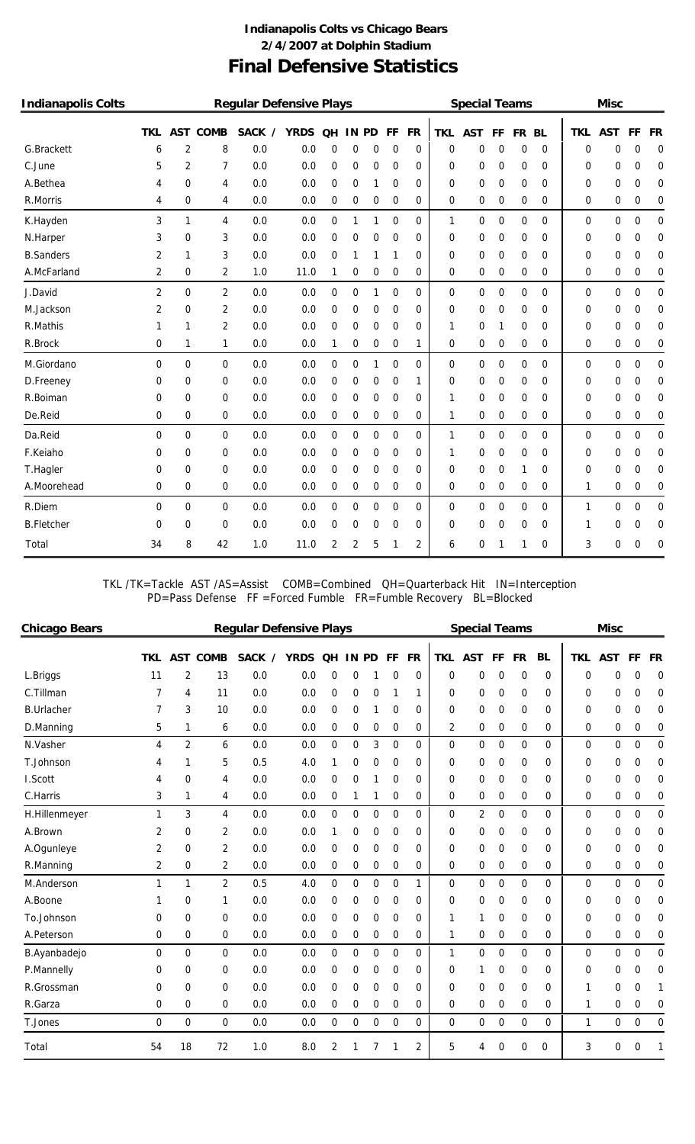### **Final Defensive Statistics Indianapolis Colts vs Chicago Bears 2/4/2007 at Dolphin Stadium**

| <b>Indianapolis Colts</b> |             |                |                | <b>Regular Defensive Plays</b> |             |                  |                |             |                |           |             | <b>Special Teams</b> |    |             |           |             | <b>Misc</b> |                  |                |
|---------------------------|-------------|----------------|----------------|--------------------------------|-------------|------------------|----------------|-------------|----------------|-----------|-------------|----------------------|----|-------------|-----------|-------------|-------------|------------------|----------------|
|                           | <b>TKL</b>  | <b>AST</b>     | <b>COMB</b>    | <b>SACK</b><br>$\prime$        | <b>YRDS</b> | <b>QH</b>        | 1N             | <b>PD</b>   | FF             | <b>FR</b> | <b>TKL</b>  | <b>AST</b>           | FF | <b>FR</b>   | <b>BL</b> | <b>TKL</b>  | <b>AST</b>  | FF               | <b>FR</b>      |
| G.Brackett                | 6           | 2              | 8              | 0.0                            | 0.0         | 0                | 0              | 0           | 0              | 0         | 0           | 0                    | 0  | 0           | 0         | 0           | 0           | 0                | 0              |
| C.June                    | 5           | $\overline{2}$ | 7              | 0.0                            | 0.0         | 0                | 0              | 0           | 0              | 0         | 0           | 0                    | 0  | 0           | 0         | 0           | 0           | 0                | $\mathbf 0$    |
| A.Bethea                  | 4           | 0              | 4              | 0.0                            | 0.0         | 0                | 0              | 1           | 0              | 0         | 0           | 0                    | 0  | 0           | 0         | 0           | 0           | 0                | 0              |
| R.Morris                  | 4           | 0              | 4              | 0.0                            | 0.0         | 0                | 0              | 0           | 0              | 0         | 0           | 0                    | 0  | 0           | 0         | 0           | 0           | 0                | 0              |
| K.Hayden                  | 3           | 1              | 4              | 0.0                            | 0.0         | $\boldsymbol{0}$ | 1              | 1           | $\mathbf 0$    | 0         | 1           | 0                    | 0  | $\mathbf 0$ | 0         | $\mathbf 0$ | 0           | $\mathbf 0$      | $\overline{0}$ |
| N.Harper                  | 3           | 0              | 3              | 0.0                            | 0.0         | 0                | 0              | 0           | $\mathbf 0$    | 0         | 0           | 0                    | 0  | 0           | 0         | 0           | 0           | 0                | 0              |
| <b>B.Sanders</b>          | 2           | 1              | 3              | 0.0                            | 0.0         | 0                | 1              | 1           | 1              | 0         | 0           | 0                    | 0  | 0           | 0         | 0           | 0           | 0                | 0              |
| A.McFarland               | 2           | 0              | 2              | 1.0                            | 11.0        | 1                | 0              | 0           | 0              | 0         | 0           | 0                    | 0  | 0           | 0         | 0           | 0           | 0                | 0              |
| J.David                   | 2           | 0              | $\overline{2}$ | 0.0                            | 0.0         | 0                | 0              | 1           | 0              | 0         | 0           | 0                    | 0  | 0           | 0         | 0           | 0           | 0                | 0              |
| M.Jackson                 | 2           | 0              | 2              | 0.0                            | 0.0         | 0                | 0              | 0           | 0              | 0         | 0           | 0                    | 0  | 0           | 0         | 0           | 0           | 0                | $\mathbf 0$    |
| R.Mathis                  | 1           | 1              | $\overline{2}$ | 0.0                            | 0.0         | $\mathbf 0$      | 0              | 0           | 0              | 0         | 1           | 0                    | 1  | 0           | 0         | 0           | 0           | 0                | $\mathbf 0$    |
| R.Brock                   | 0           | 1              | 1              | 0.0                            | 0.0         | 1                | 0              | 0           | 0              | 1         | 0           | 0                    | 0  | 0           | 0         | 0           | 0           | 0                | 0              |
| M.Giordano                | $\mathbf 0$ | 0              | $\overline{0}$ | 0.0                            | 0.0         | $\mathbf 0$      | 0              | 1           | $\overline{0}$ | 0         | $\mathbf 0$ | 0                    | 0  | $\mathbf 0$ | 0         | $\mathbf 0$ | 0           | $\boldsymbol{0}$ | $\mathbf 0$    |
| D.Freeney                 | 0           | 0              | 0              | 0.0                            | 0.0         | 0                | 0              | 0           | 0              | 1         | 0           | 0                    | 0  | 0           | 0         | 0           | 0           | 0                | 0              |
| R.Boiman                  | 0           | 0              | $\Omega$       | 0.0                            | 0.0         | 0                | 0              | 0           | 0              | 0         | 1           | 0                    | 0  | 0           | 0         | 0           | 0           | 0                | 0              |
| De.Reid                   | 0           | 0              | $\mathbf 0$    | 0.0                            | 0.0         | 0                | 0              | 0           | 0              | 0         | 1           | 0                    | 0  | 0           | 0         | 0           | 0           | 0                | 0              |
| Da.Reid                   | $\Omega$    | 0              | $\mathbf 0$    | 0.0                            | 0.0         | 0                | 0              | 0           | $\mathbf 0$    | 0         | 1           | 0                    | 0  | 0           | 0         | 0           | 0           | 0                | 0              |
| F.Keiaho                  | 0           | 0              | $\mathbf 0$    | 0.0                            | 0.0         | 0                | 0              | 0           | 0              | 0         | 1           | 0                    | 0  | 0           | 0         | 0           | 0           | 0                | 0              |
| T.Hagler                  | 0           | 0              | $\mathbf 0$    | 0.0                            | 0.0         | $\mathbf 0$      | 0              | 0           | $\mathbf 0$    | 0         | 0           | $\mathbf 0$          | 0  | 1           | 0         | 0           | 0           | 0                | 0              |
| A.Moorehead               | 0           | 0              | 0              | 0.0                            | 0.0         | 0                | 0              | 0           | 0              | 0         | 0           | 0                    | 0  | 0           | 0         | 1           | 0           | 0                | 0              |
| R.Diem                    | 0           | 0              | $\overline{0}$ | 0.0                            | 0.0         | $\boldsymbol{0}$ | 0              | $\mathbf 0$ | $\overline{0}$ | 0         | 0           | 0                    | 0  | $\mathbf 0$ | 0         | 1           | 0           | $\boldsymbol{0}$ | $\mathbf 0$    |
| <b>B.Fletcher</b>         | 0           | 0              | 0              | 0.0                            | 0.0         | 0                | 0              | 0           | 0              | 0         | 0           | 0                    | 0  | 0           | 0         | 1           | 0           | 0                | 0              |
| Total                     | 34          | 8              | 42             | 1.0                            | 11.0        | $\overline{2}$   | $\overline{2}$ | 5           | 1              | 2         | 6           | 0                    | 1  | 1           | 0         | 3           | 0           | 0                | 0              |

TKL /TK=Tackle AST /AS=Assist COMB=Combined QH=Quarterback Hit IN=Interception PD=Pass Defense FF =Forced Fumble FR=Fumble Recovery BL=Blocked

| <b>Chicago Bears</b> |     |                |                 | <b>Regular Defensive Plays</b> |             |                  |       |             |                |                |            | <b>Special Teams</b> |    |             |           |              | <b>Misc</b> |             |           |
|----------------------|-----|----------------|-----------------|--------------------------------|-------------|------------------|-------|-------------|----------------|----------------|------------|----------------------|----|-------------|-----------|--------------|-------------|-------------|-----------|
|                      | TKL |                | <b>AST COMB</b> | SACK /                         | <b>YRDS</b> | <b>OH</b>        | IN PD |             | <b>FF</b>      | FR             | <b>TKL</b> | <b>AST</b>           | FF | <b>FR</b>   | <b>BL</b> | TKL          | <b>AST</b>  | <b>FF</b>   | <b>FR</b> |
| L.Briggs             | 11  | 2              | 13              | 0.0                            | 0.0         | 0                | 0     | 1           | 0              | $\Omega$       | 0          | 0                    | 0  | 0           | $\Omega$  | 0            | 0           | 0           | 0         |
| C.Tillman            | 7   | 4              | 11              | 0.0                            | 0.0         | 0                | 0     | 0           | 1              | 1              | 0          | 0                    | 0  | 0           | $\Omega$  | 0            | 0           | 0           | 0         |
| <b>B.Urlacher</b>    | 7   | 3              | 10              | 0.0                            | 0.0         | 0                | 0     | 1           | 0              | $\Omega$       | 0          | 0                    | 0  | 0           | $\Omega$  | 0            | 0           | 0           | 0         |
| D.Manning            | 5   | 1              | 6               | 0.0                            | 0.0         | 0                | 0     | 0           | 0              | 0              | 2          | 0                    | 0  | 0           | $\Omega$  | 0            | 0           | 0           | 0         |
| N.Vasher             | 4   | $\overline{2}$ | 6               | 0.0                            | 0.0         | 0                | 0     | 3           | $\overline{0}$ | $\Omega$       | 0          | 0                    | 0  | $\Omega$    | $\Omega$  | $\Omega$     | 0           | $\mathbf 0$ | $\Omega$  |
| T.Johnson            | 4   | 1              | 5               | 0.5                            | 4.0         | 1                | 0     | 0           | 0              | 0              | 0          | 0                    | 0  | 0           | $\Omega$  | 0            | 0           | 0           | 0         |
| I.Scott              | 4   | $\Omega$       | 4               | 0.0                            | 0.0         | 0                | 0     | 1           | 0              | 0              | 0          | 0                    | 0  | 0           | $\Omega$  | 0            | 0           | 0           | 0         |
| C.Harris             | 3   | 1              | 4               | 0.0                            | 0.0         | 0                |       | 1           | 0              | 0              | 0          | 0                    | 0  | $\mathbf 0$ | $\Omega$  | 0            | 0           | 0           | 0         |
| H.Hillenmeyer        | 1   | 3              | 4               | 0.0                            | 0.0         | 0                | 0     | $\mathbf 0$ | $\Omega$       | $\Omega$       | 0          | 2                    | 0  | $\Omega$    | 0         | 0            | $\mathbf 0$ | 0           | $\Omega$  |
| A.Brown              | 2   | 0              | 2               | 0.0                            | 0.0         | 1                | 0     | 0           | 0              | 0              | 0          | 0                    | 0  | 0           | $\Omega$  | 0            | 0           | 0           | 0         |
| A.Ogunleye           | 2   | $\Omega$       | $\overline{2}$  | 0.0                            | 0.0         | 0                | 0     | 0           | 0              | 0              | 0          | 0                    | 0  | 0           | $\Omega$  | 0            | 0           | 0           | 0         |
| R.Manning            | 2   | 0              | 2               | 0.0                            | 0.0         | 0                | 0     | 0           | 0              | 0              | 0          | 0                    | 0  | 0           | $\Omega$  | 0            | 0           | 0           | 0         |
| M.Anderson           | 1   | 1              | $\overline{2}$  | 0.5                            | 4.0         | $\mathbf 0$      | 0     | $\mathbf 0$ | $\Omega$       | $\mathbf{1}$   | 0          | $\mathbf 0$          | 0  | $\Omega$    | 0         | $\Omega$     | $\mathbf 0$ | 0           | $\Omega$  |
| A.Boone              | 1   | $\mathbf 0$    | 1               | 0.0                            | 0.0         | 0                | 0     | 0           | 0              | 0              | 0          | 0                    | 0  | 0           | 0         | 0            | 0           | 0           | 0         |
| To.Johnson           | 0   | $\Omega$       | 0               | 0.0                            | 0.0         | 0                | 0     | $\mathbf 0$ | 0              | 0              | 1          | 1                    | 0  | 0           | 0         | 0            | 0           | 0           | 0         |
| A.Peterson           | 0   | $\Omega$       | $\Omega$        | 0.0                            | 0.0         | 0                | 0     | $\mathbf 0$ | 0              | $\Omega$       | 1          | 0                    | 0  | 0           | $\Omega$  | $\Omega$     | 0           | 0           | 0         |
| B.Ayanbadejo         | 0   | $\Omega$       | $\overline{0}$  | 0.0                            | 0.0         | $\boldsymbol{0}$ | 0     | $\mathbf 0$ | $\mathbf 0$    | 0              | 1          | $\mathbf 0$          | 0  | $\mathbf 0$ | 0         | 0            | $\mathbf 0$ | 0           | $\Omega$  |
| P.Mannelly           | 0   | 0              | 0               | 0.0                            | 0.0         | 0                | 0     | 0           | 0              | 0              | 0          | 1                    | 0  | 0           | $\Omega$  | 0            | 0           | 0           | 0         |
| R.Grossman           | 0   | $\Omega$       | $\Omega$        | 0.0                            | 0.0         | 0                | 0     | 0           | 0              | 0              | 0          | 0                    | 0  | 0           | $\Omega$  | 1            | 0           | 0           |           |
| R.Garza              | 0   | 0              | $\Omega$        | 0.0                            | 0.0         | 0                | 0     | 0           | 0              | 0              | 0          | 0                    | 0  | 0           | $\Omega$  | 1            | 0           | 0           | 0         |
| T.Jones              | 0   | $\Omega$       | $\Omega$        | 0.0                            | 0.0         | $\mathbf 0$      | 0     | $\mathbf 0$ | $\mathbf 0$    | $\Omega$       | 0          | 0                    | 0  | $\mathbf 0$ | 0         | $\mathbf{1}$ | $\mathbf 0$ | $\mathbf 0$ | 0         |
| Total                | 54  | 18             | 72              | 1.0                            | 8.0         | 2                |       | 7           | 1              | $\overline{2}$ | 5          | 4                    | 0  | 0           | 0         | 3            | 0           | 0           |           |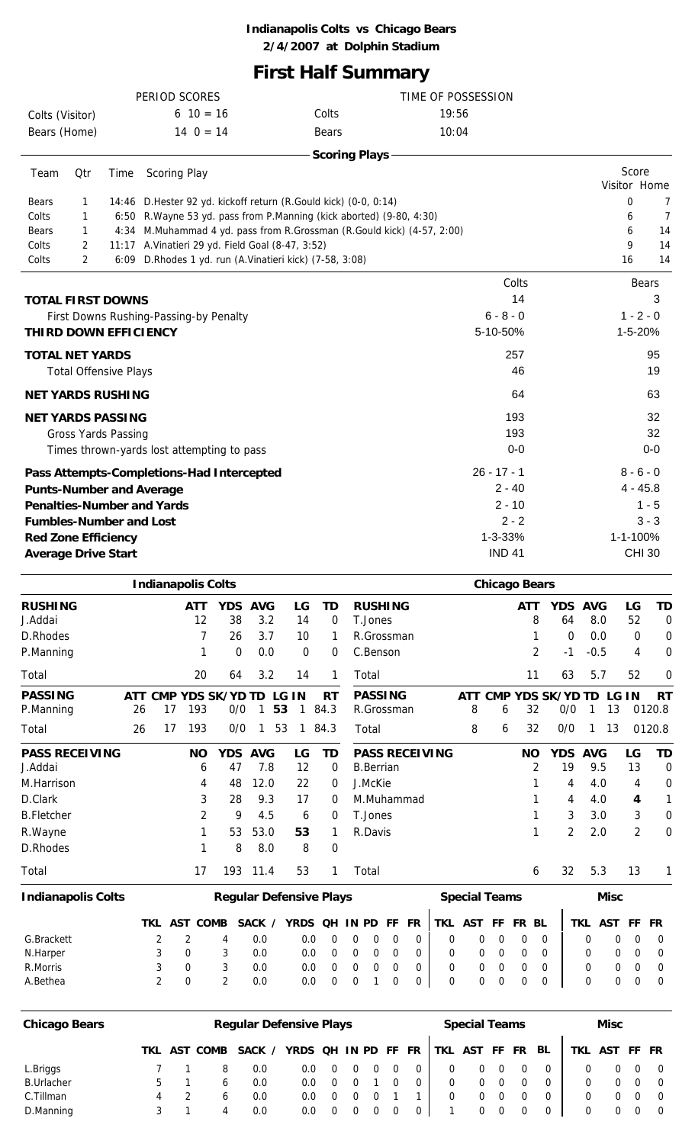#### **Indianapolis Colts vs Chicago Bears 2/4/2007 at Dolphin Stadium**

## **First Half Summary**

|                                                                      |                                            |      |    | PERIOD SCORES                                           |                |              |    |              |                   | TIME OF POSSESSION                                                     |       |                           |                 |                            |        |    |                           |                |
|----------------------------------------------------------------------|--------------------------------------------|------|----|---------------------------------------------------------|----------------|--------------|----|--------------|-------------------|------------------------------------------------------------------------|-------|---------------------------|-----------------|----------------------------|--------|----|---------------------------|----------------|
| Colts (Visitor)                                                      |                                            |      |    | $610 = 16$                                              |                |              |    |              | Colts             |                                                                        | 19:56 |                           |                 |                            |        |    |                           |                |
| Bears (Home)                                                         |                                            |      |    | $14 \t0 = 14$                                           |                |              |    |              | <b>Bears</b>      |                                                                        | 10:04 |                           |                 |                            |        |    |                           |                |
|                                                                      |                                            |      |    |                                                         |                |              |    |              |                   | <b>Scoring Plays</b>                                                   |       |                           |                 |                            |        |    |                           |                |
| Team                                                                 | Qtr                                        | Time |    | Scoring Play                                            |                |              |    |              |                   |                                                                        |       |                           |                 |                            |        |    | Score                     | Visitor Home   |
| Bears                                                                | 1                                          |      |    |                                                         |                |              |    |              |                   | 14:46 D. Hester 92 yd. kickoff return (R. Gould kick) (0-0, 0:14)      |       |                           |                 |                            |        |    | 0                         | 7              |
| Colts                                                                | 1                                          |      |    |                                                         |                |              |    |              |                   | 6:50 R. Wayne 53 yd. pass from P. Manning (kick aborted) (9-80, 4:30)  |       |                           |                 |                            |        |    | 6                         | $\overline{7}$ |
| Bears                                                                | 1                                          |      |    |                                                         |                |              |    |              |                   | 4:34 M.Muhammad 4 yd. pass from R.Grossman (R.Gould kick) (4-57, 2:00) |       |                           |                 |                            |        |    | 6                         | 14             |
| Colts                                                                | 2                                          |      |    | 11:17 A. Vinatieri 29 yd. Field Goal (8-47, 3:52)       |                |              |    |              |                   |                                                                        |       |                           |                 |                            |        |    | 9                         | 14             |
| Colts                                                                | $\overline{2}$                             |      |    | 6:09 D.Rhodes 1 yd. run (A.Vinatieri kick) (7-58, 3:08) |                |              |    |              |                   |                                                                        |       |                           |                 |                            |        |    | 16                        | 14             |
|                                                                      |                                            |      |    |                                                         |                |              |    |              |                   |                                                                        |       |                           | Colts           |                            |        |    | <b>Bears</b>              |                |
| <b>TOTAL FIRST DOWNS</b>                                             |                                            |      |    |                                                         |                |              |    |              |                   |                                                                        |       |                           | 14              |                            |        |    |                           | 3              |
|                                                                      | First Downs Rushing-Passing-by Penalty     |      |    |                                                         |                |              |    |              |                   |                                                                        |       | $6 - 8 - 0$               |                 |                            |        |    | $1 - 2 - 0$               |                |
| <b>THIRD DOWN EFFICIENCY</b>                                         |                                            |      |    |                                                         |                |              |    |              |                   |                                                                        |       | 5-10-50%                  |                 |                            |        |    | 1-5-20%                   |                |
| <b>TOTAL NET YARDS</b>                                               |                                            |      |    |                                                         |                |              |    |              |                   |                                                                        |       |                           | 257             |                            |        |    |                           | 95             |
|                                                                      | <b>Total Offensive Plays</b>               |      |    |                                                         |                |              |    |              |                   |                                                                        |       |                           | 46              |                            |        |    |                           | 19             |
| <b>NET YARDS RUSHING</b>                                             |                                            |      |    |                                                         |                |              |    |              |                   |                                                                        |       |                           | 64              |                            |        |    |                           | 63             |
| <b>NET YARDS PASSING</b>                                             |                                            |      |    |                                                         |                |              |    |              |                   |                                                                        |       |                           | 193             |                            |        |    |                           | 32             |
|                                                                      | <b>Gross Yards Passing</b>                 |      |    |                                                         |                |              |    |              |                   |                                                                        |       |                           | 193             |                            |        |    |                           | 32             |
|                                                                      | Times thrown-yards lost attempting to pass |      |    |                                                         |                |              |    |              |                   |                                                                        |       |                           | $0-0$           |                            |        |    |                           | $0-0$          |
|                                                                      |                                            |      |    |                                                         |                |              |    |              |                   |                                                                        |       |                           |                 |                            |        |    |                           |                |
| Pass Attempts-Completions-Had Intercepted                            |                                            |      |    |                                                         |                |              |    |              |                   |                                                                        |       | $26 - 17 - 1$<br>$2 - 40$ |                 |                            |        |    | $8 - 6 - 0$<br>$4 - 45.8$ |                |
| <b>Punts-Number and Average</b><br><b>Penalties-Number and Yards</b> |                                            |      |    |                                                         |                |              |    |              |                   |                                                                        |       | $2 - 10$                  |                 |                            |        |    |                           | $1 - 5$        |
| <b>Fumbles-Number and Lost</b>                                       |                                            |      |    |                                                         |                |              |    |              |                   |                                                                        |       |                           | $2 - 2$         |                            |        |    |                           | $3 - 3$        |
| <b>Red Zone Efficiency</b>                                           |                                            |      |    |                                                         |                |              |    |              |                   |                                                                        |       | 1-3-33%                   |                 |                            |        |    | 1-1-100%                  |                |
| <b>Average Drive Start</b>                                           |                                            |      |    |                                                         |                |              |    |              |                   |                                                                        |       | <b>IND 41</b>             |                 |                            |        |    | <b>CHI 30</b>             |                |
|                                                                      |                                            |      |    |                                                         |                |              |    |              |                   |                                                                        |       |                           |                 |                            |        |    |                           |                |
|                                                                      |                                            |      |    | <b>Indianapolis Colts</b>                               |                |              |    |              |                   |                                                                        |       | <b>Chicago Bears</b>      |                 |                            |        |    |                           |                |
| <b>RUSHING</b><br>J.Addai                                            |                                            |      |    | <b>ATT</b><br>12                                        | YDS AVG<br>38  | 3.2          |    | LG<br>14     | TD<br>$\mathbf 0$ | <b>RUSHING</b><br>T.Jones                                              |       |                           | <b>ATT</b><br>8 | YDS AVG<br>64              | 8.0    |    | LG<br>52                  | <b>TD</b><br>0 |
| D.Rhodes                                                             |                                            |      |    | 7                                                       | 26             | 3.7          |    | 10           | 1                 | R.Grossman                                                             |       |                           | 1               | 0                          | 0.0    |    | $\mathbf 0$               | 0              |
| P.Manning                                                            |                                            |      |    | 1                                                       | $\overline{0}$ | 0.0          |    | $\mathbf 0$  | 0                 | C.Benson                                                               |       |                           | 2               | $-1$                       | $-0.5$ |    | 4                         | 0              |
| Total                                                                |                                            |      |    | 20                                                      | 64             | 3.2          |    | 14           | 1                 | Total                                                                  |       |                           | 11              | 63                         | 5.7    |    | 52                        | 0              |
| <b>PASSING</b>                                                       |                                            |      | 17 | ATT CMP YDS SK/YD TD LG IN<br>193                       | 0/0            | $\mathbf{1}$ |    |              | <b>RT</b>         | <b>PASSING</b>                                                         |       |                           | 32              | ATT CMP YDS SK/YD TD LG IN | 1      |    |                           | <b>RT</b>      |
| P.Manning                                                            |                                            | 26   |    |                                                         |                |              | 53 | $\mathbf{1}$ | 84.3              | R.Grossman                                                             | 8     | 6                         |                 | 0/0                        |        | 13 |                           | 0120.8         |
| Total                                                                |                                            | 26   | 17 | 193                                                     | 0/0            | $\mathbf{1}$ | 53 |              | 184.3             | Total                                                                  | 8     | 6                         | 32              | 0/0                        | 1      | 13 |                           | 0120.8         |
| <b>PASS RECEIVING</b><br>J.Addai                                     |                                            |      |    | <b>NO</b><br>6                                          | YDS AVG<br>47  | 7.8          |    | LG<br>12     | <b>TD</b><br>0    | <b>PASS RECEIVING</b><br><b>B.Berrian</b>                              |       |                           | <b>NO</b><br>2  | YDS AVG<br>19              | 9.5    |    | LG<br>13                  | <b>TD</b><br>0 |
| M.Harrison                                                           |                                            |      |    | 4                                                       | 48             | 12.0         |    | 22           | 0                 | J.McKie                                                                |       |                           | 1               | 4                          | 4.0    |    | 4                         | 0              |
| D.Clark                                                              |                                            |      |    | 3                                                       | 28             | 9.3          |    | 17           | 0                 | M.Muhammad                                                             |       |                           | 1               | 4                          | 4.0    |    | 4                         | 1              |
| <b>B.Fletcher</b>                                                    |                                            |      |    | 2                                                       | 9              | 4.5          |    | 6            | 0                 | T.Jones                                                                |       |                           | 1               | 3                          | 3.0    |    | 3                         | 0              |
| R.Wayne                                                              |                                            |      |    | 1                                                       | 53             | 53.0         |    | 53           | 1                 | R.Davis                                                                |       |                           | 1               | $\overline{2}$             | 2.0    |    | 2                         | 0              |
| D.Rhodes                                                             |                                            |      |    | 1                                                       | 8              | 8.0          |    | 8            | 0                 |                                                                        |       |                           |                 |                            |        |    |                           |                |
| Total                                                                |                                            |      |    | 17                                                      | 193 11.4       |              |    | 53           | $\mathbf{1}$      | Total                                                                  |       |                           | 6               | 32                         | 5.3    |    | 13                        | 1              |
|                                                                      |                                            |      |    |                                                         |                |              |    |              |                   |                                                                        |       |                           |                 |                            |        |    |                           |                |

| <b>Indianapolis Colts</b> |          |              | <b>Regular Defensive Plays</b> |                     |                |  |  |            | <b>Special Teams</b> |              |  |   | Misc          |     |
|---------------------------|----------|--------------|--------------------------------|---------------------|----------------|--|--|------------|----------------------|--------------|--|---|---------------|-----|
|                           |          | TKL AST COMB | SACK /                         | YRDS QH IN PD FF FR |                |  |  | <b>TKL</b> | <b>AST FF FR BL</b>  |              |  |   | TKL AST FF FR |     |
| G.Brackett                |          | 4            | 0.0                            | $0.0^{-}$           | $\overline{0}$ |  |  |            | $\Omega$             | $\Omega$     |  |   |               |     |
| N.Harper                  | 0        |              | 0.0                            | 0.O                 | $\overline{0}$ |  |  |            | $\Omega$             | $\Omega$     |  |   |               | - 0 |
| R.Morris                  | 0        |              | 0.0                            | 0.O                 |                |  |  |            | 0                    |              |  |   |               | - 0 |
| A.Bethea                  | $\Omega$ |              | 0.0                            | 0.0                 |                |  |  |            | 0                    | $\mathbf{U}$ |  | 0 |               |     |

| <b>Chicago Bears</b> |  |              | <b>Regular Defensive Plays</b> |                                   |                |  |          |   | <b>Special Teams</b> |   |    |   | Misc          |                |
|----------------------|--|--------------|--------------------------------|-----------------------------------|----------------|--|----------|---|----------------------|---|----|---|---------------|----------------|
|                      |  | TKL AST COMB | SACK /                         | YRDS OH IN PD FF FR TKL AST FF FR |                |  |          |   |                      |   | BL |   | TKL AST FF FR |                |
| L.Briggs             |  |              | 0.0                            | 0.0                               | $\overline{0}$ |  | $\Omega$ | 0 | 0                    | 0 |    |   | 0             | $\overline{0}$ |
| <b>B.Urlacher</b>    |  |              | 0.0                            | 0.0                               | $\overline{0}$ |  |          | 0 | 0                    | 0 |    | 0 | $\Omega$      | $\overline{0}$ |
| C.Tillman            |  |              | 0.0                            | 0.0                               | - 0            |  |          |   | 0                    | 0 |    |   | 0             | $\overline{0}$ |
| D.Manning            |  |              | 0.0                            | 0.0                               | - 0            |  |          |   | 0                    | 0 |    | 0 | 0             | - 0            |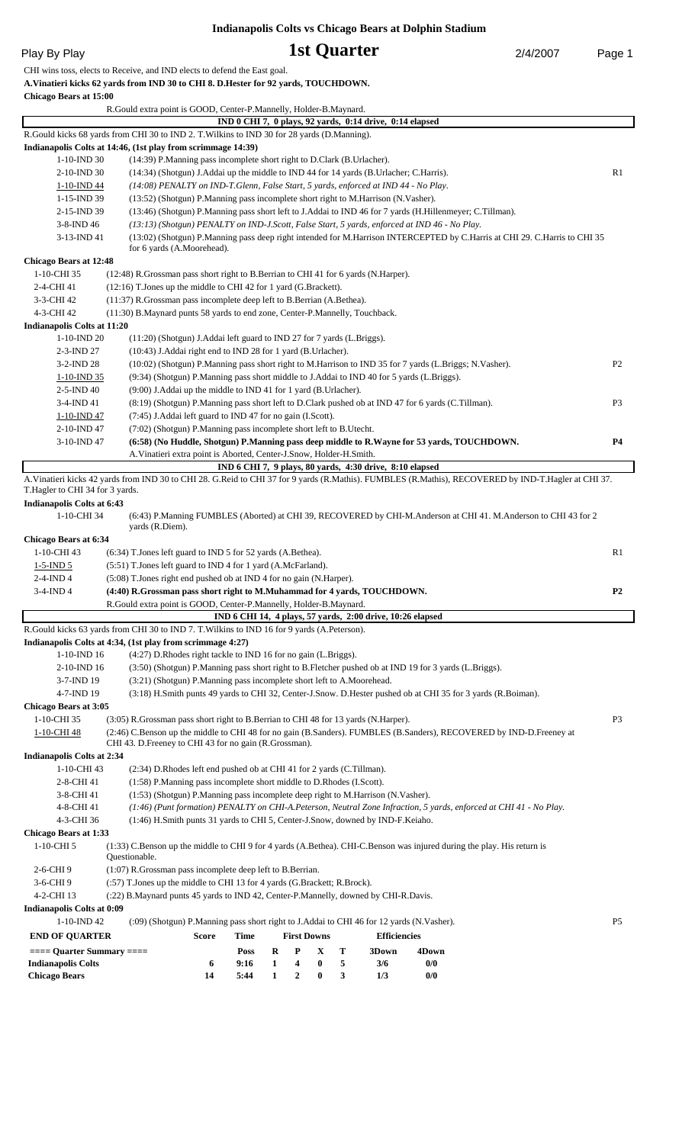#### **Indianapolis Colts vs Chicago Bears at Dolphin Stadium**

|  |  | Play By Play |  |
|--|--|--------------|--|
|--|--|--------------|--|

#### **1st Quarter** 2/4/2007 Page 1

CHI wins toss, elects to Receive, and IND elects to defend the East goal.

**A.Vinatieri kicks 62 yards from IND 30 to CHI 8. D.Hester for 92 yards, TOUCHDOWN.**

**Chicago Bears at 15:00** R.Gould extra point is GOOD, Center-P.Mannelly, Holder-B.Maynard.  **IND 0 CHI 7, 0 plays, 92 yards, 0:14 drive, 0:14 elapsed**  R.Gould kicks 68 yards from CHI 30 to IND 2. T.Wilkins to IND 30 for 28 yards (D.Manning). **Indianapolis Colts at 14:46, (1st play from scrimmage 14:39)** 1-10-IND 30 (14:39) P.Manning pass incomplete short right to D.Clark (B.Urlacher). 2-10-IND 30 (14:34) (Shotgun) J.Addai up the middle to IND 44 for 14 yards (B.Urlacher; C.Harris). R1 1-10-IND 44 *(14:08) PENALTY on IND-T.Glenn, False Start, 5 yards, enforced at IND 44 - No Play.* 1-15-IND 39 (13:52) (Shotgun) P.Manning pass incomplete short right to M.Harrison (N.Vasher). 2-15-IND 39 (13:46) (Shotgun) P.Manning pass short left to J.Addai to IND 46 for 7 yards (H.Hillenmeyer; C.Tillman). 3-8-IND 46 *(13:13) (Shotgun) PENALTY on IND-J.Scott, False Start, 5 yards, enforced at IND 46 - No Play.* 3-13-IND 41 (13:02) (Shotgun) P.Manning pass deep right intended for M.Harrison INTERCEPTED by C.Harris at CHI 29. C.Harris to CHI 35 for 6 yards (A.Moorehead). **Chicago Bears at 12:48** 1-10-CHI 35 (12:48) R.Grossman pass short right to B.Berrian to CHI 41 for 6 yards (N.Harper). 2-4-CHI 41 (12:16) T. Jones up the middle to CHI 42 for 1 yard (G. Brackett). 3-3-CHI 42 (11:37) R.Grossman pass incomplete deep left to B.Berrian (A.Bethea). 4-3-CHI 42 (11:30) B.Maynard punts 58 yards to end zone, Center-P.Mannelly, Touchback. **Indianapolis Colts at 11:20** 1-10-IND 20 (11:20) (Shotgun) J.Addai left guard to IND 27 for 7 yards (L.Briggs). 2-3-IND 27 (10:43) J.Addai right end to IND 28 for 1 yard (B.Urlacher). 3-2-IND 28 (10:02) (Shotgun) P.Manning pass short right to M.Harrison to IND 35 for 7 yards (L.Briggs; N.Vasher). P2 1-10-IND 35 (9:34) (Shotgun) P.Manning pass short middle to J.Addai to IND 40 for 5 yards (L.Briggs). 2-5-IND 40 (9:00) J.Addai up the middle to IND 41 for 1 yard (B.Urlacher). 3-4-IND 41 (8:19) (Shotgun) P.Manning pass short left to D.Clark pushed ob at IND 47 for 6 yards (C.Tillman). P3 1-10-IND 47 (7:45) J.Addai left guard to IND 47 for no gain (I.Scott). 2-10-IND 47 (7:02) (Shotgun) P.Manning pass incomplete short left to B.Utecht. 3-10-IND 47 **(6:58) (No Huddle, Shotgun) P.Manning pass deep middle to R.Wayne for 53 yards, TOUCHDOWN. P4** A.Vinatieri extra point is Aborted, Center-J.Snow, Holder-H.Smith.  **IND 6 CHI 7, 9 plays, 80 yards, 4:30 drive, 8:10 elapsed**  A.Vinatieri kicks 42 yards from IND 30 to CHI 28. G.Reid to CHI 37 for 9 yards (R.Mathis). FUMBLES (R.Mathis), RECOVERED by IND-T.Hagler at CHI 37. T.Hagler to CHI 34 for 3 yards. **Indianapolis Colts at 6:43** 1-10-CHI 34 (6:43) P.Manning FUMBLES (Aborted) at CHI 39, RECOVERED by CHI-M.Anderson at CHI 41. M.Anderson to CHI 43 for 2 yards (R.Diem). **Chicago Bears at 6:34** 1-10-CHI 43 (6:34) T.Jones left guard to IND 5 for 52 yards (A.Bethea). R1 1-5-IND 5 (5:51) T.Jones left guard to IND 4 for 1 yard (A.McFarland). 2-4-IND 4 (5:08) T.Jones right end pushed ob at IND 4 for no gain (N.Harper). 3-4-IND 4 **(4:40) R.Grossman pass short right to M.Muhammad for 4 yards, TOUCHDOWN. P2** R.Gould extra point is GOOD, Center-P.Mannelly, Holder-B.Maynard.  **IND 6 CHI 14, 4 plays, 57 yards, 2:00 drive, 10:26 elapsed**  R.Gould kicks 63 yards from CHI 30 to IND 7. T.Wilkins to IND 16 for 9 yards (A.Peterson). **Indianapolis Colts at 4:34, (1st play from scrimmage 4:27)** 1-10-IND 16 (4:27) D.Rhodes right tackle to IND 16 for no gain (L.Briggs). 2-10-IND 16 (3:50) (Shotgun) P.Manning pass short right to B.Fletcher pushed ob at IND 19 for 3 yards (L.Briggs). 3-7-IND 19 (3:21) (Shotgun) P.Manning pass incomplete short left to A.Moorehead. 4-7-IND 19 (3:18) H.Smith punts 49 yards to CHI 32, Center-J.Snow. D.Hester pushed ob at CHI 35 for 3 yards (R.Boiman). **Chicago Bears at 3:05** 1-10-CHI 35 (3:05) R.Grossman pass short right to B.Berrian to CHI 48 for 13 yards (N.Harper). P3 1-10-CHI 48 (2:46) C.Benson up the middle to CHI 48 for no gain (B.Sanders). FUMBLES (B.Sanders), RECOVERED by IND-D.Freeney at CHI 43. D.Freeney to CHI 43 for no gain (R.Grossman). **Indianapolis Colts at 2:34** 1-10-CHI 43 (2:34) D.Rhodes left end pushed ob at CHI 41 for 2 yards (C.Tillman). 2-8-CHI 41 (1:58) P.Manning pass incomplete short middle to D.Rhodes (I.Scott). 3-8-CHI 41 (1:53) (Shotgun) P.Manning pass incomplete deep right to M.Harrison (N.Vasher). 4-8-CHI 41 *(1:46) (Punt formation) PENALTY on CHI-A.Peterson, Neutral Zone Infraction, 5 yards, enforced at CHI 41 - No Play.* 4-3-CHI 36 (1:46) H.Smith punts 31 yards to CHI 5, Center-J.Snow, downed by IND-F.Keiaho. **Chicago Bears at 1:33** 1-10-CHI 5 (1:33) C.Benson up the middle to CHI 9 for 4 yards (A.Bethea). CHI-C.Benson was injured during the play. His return is Questionable. 2-6-CHI 9 (1:07) R.Grossman pass incomplete deep left to B.Berrian. 3-6-CHI 9 (:57) T.Jones up the middle to CHI 13 for 4 yards (G.Brackett; R.Brock). 4-2-CHI 13 (:22) B.Maynard punts 45 yards to IND 42, Center-P.Mannelly, downed by CHI-R.Davis. **Indianapolis Colts at 0:09** 1-10-IND 42 (:09) (Shotgun) P.Manning pass short right to J.Addai to CHI 46 for 12 yards (N.Vasher). P5 **END OF OUARTER Score Time ==== Quarter Summary ==== R P X T 3Down 4Down First Downs Efficiencies Poss Indianapolis Colts 6 9:16 1 4 0 5 3/6 0/0 Chicago Bears 14 5:44 1 2 0 3 1/3 0/0**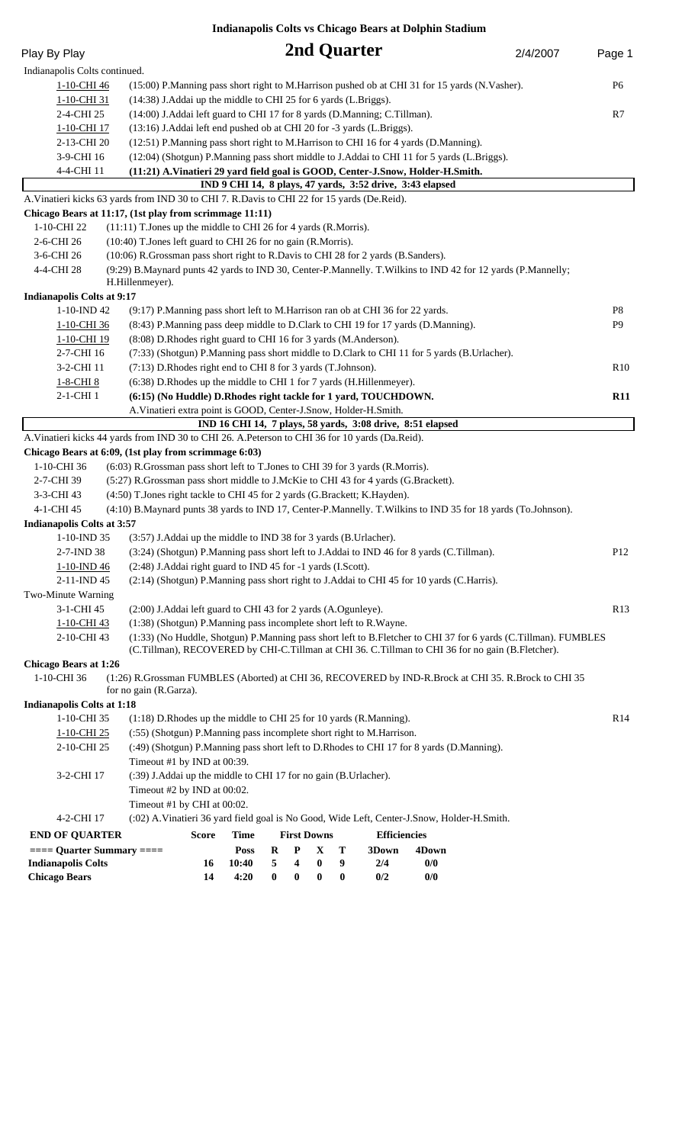**Indianapolis Colts vs Chicago Bears at Dolphin Stadium**

| Play By Play                                                                                                                                                             |                                                                                                                 |                                                                                     |          |          |                    | 2nd Quarter |                                                           |                                                                                                  | 2/4/2007 | Page 1          |
|--------------------------------------------------------------------------------------------------------------------------------------------------------------------------|-----------------------------------------------------------------------------------------------------------------|-------------------------------------------------------------------------------------|----------|----------|--------------------|-------------|-----------------------------------------------------------|--------------------------------------------------------------------------------------------------|----------|-----------------|
| Indianapolis Colts continued.                                                                                                                                            |                                                                                                                 |                                                                                     |          |          |                    |             |                                                           |                                                                                                  |          |                 |
| 1-10-CHI 46                                                                                                                                                              |                                                                                                                 |                                                                                     |          |          |                    |             |                                                           | (15:00) P.Manning pass short right to M.Harrison pushed ob at CHI 31 for 15 yards (N.Vasher).    |          | P6              |
| 1-10-CHI 31                                                                                                                                                              |                                                                                                                 | (14:38) J.Addai up the middle to CHI 25 for 6 yards (L.Briggs).                     |          |          |                    |             |                                                           |                                                                                                  |          |                 |
| 2-4-CHI 25                                                                                                                                                               |                                                                                                                 | (14:00) J.Addai left guard to CHI 17 for 8 yards (D.Manning; C.Tillman).            |          |          |                    |             |                                                           |                                                                                                  | R7       |                 |
| 1-10-CHI 17                                                                                                                                                              |                                                                                                                 | (13:16) J.Addai left end pushed ob at CHI 20 for -3 yards (L.Briggs).               |          |          |                    |             |                                                           |                                                                                                  |          |                 |
| 2-13-CHI 20                                                                                                                                                              |                                                                                                                 | (12:51) P.Manning pass short right to M.Harrison to CHI 16 for 4 yards (D.Manning). |          |          |                    |             |                                                           |                                                                                                  |          |                 |
| 3-9-CHI 16                                                                                                                                                               | (12:04) (Shotgun) P.Manning pass short middle to J.Addai to CHI 11 for 5 yards (L.Briggs).                      |                                                                                     |          |          |                    |             |                                                           |                                                                                                  |          |                 |
| 4-4-CHI 11<br>(11:21) A.Vinatieri 29 yard field goal is GOOD, Center-J.Snow, Holder-H.Smith.                                                                             |                                                                                                                 |                                                                                     |          |          |                    |             |                                                           |                                                                                                  |          |                 |
|                                                                                                                                                                          |                                                                                                                 |                                                                                     |          |          |                    |             | IND 9 CHI 14, 8 plays, 47 yards, 3:52 drive, 3:43 elapsed |                                                                                                  |          |                 |
|                                                                                                                                                                          | A. Vinatieri kicks 63 yards from IND 30 to CHI 7. R. Davis to CHI 22 for 15 yards (De. Reid).                   |                                                                                     |          |          |                    |             |                                                           |                                                                                                  |          |                 |
|                                                                                                                                                                          | Chicago Bears at 11:17, (1st play from scrimmage 11:11)                                                         |                                                                                     |          |          |                    |             |                                                           |                                                                                                  |          |                 |
| 1-10-CHI 22                                                                                                                                                              | (11:11) T.Jones up the middle to CHI 26 for 4 yards (R.Morris).                                                 |                                                                                     |          |          |                    |             |                                                           |                                                                                                  |          |                 |
| 2-6-CHI 26                                                                                                                                                               | (10:40) T.Jones left guard to CHI 26 for no gain (R.Morris).                                                    |                                                                                     |          |          |                    |             |                                                           |                                                                                                  |          |                 |
| 3-6-CHI 26                                                                                                                                                               | (10:06) R.Grossman pass short right to R.Davis to CHI 28 for 2 yards (B.Sanders).                               |                                                                                     |          |          |                    |             |                                                           |                                                                                                  |          |                 |
| 4-4-CHI 28                                                                                                                                                               | (9:29) B. Maynard punts 42 yards to IND 30, Center-P. Mannelly. T. Wilkins to IND 42 for 12 yards (P. Mannelly; |                                                                                     |          |          |                    |             |                                                           |                                                                                                  |          |                 |
|                                                                                                                                                                          | H.Hillenmeyer).                                                                                                 |                                                                                     |          |          |                    |             |                                                           |                                                                                                  |          |                 |
| <b>Indianapolis Colts at 9:17</b>                                                                                                                                        |                                                                                                                 |                                                                                     |          |          |                    |             |                                                           |                                                                                                  |          |                 |
| 1-10-IND 42                                                                                                                                                              | (9:17) P.Manning pass short left to M.Harrison ran ob at CHI 36 for 22 yards.                                   |                                                                                     |          |          |                    |             |                                                           |                                                                                                  |          | P <sub>8</sub>  |
| 1-10-CHI 36                                                                                                                                                              | (8:43) P.Manning pass deep middle to D.Clark to CHI 19 for 17 yards (D.Manning).                                |                                                                                     |          |          |                    |             |                                                           |                                                                                                  |          | P <sub>9</sub>  |
| 1-10-CHI 19                                                                                                                                                              | (8:08) D.Rhodes right guard to CHI 16 for 3 yards (M.Anderson).                                                 |                                                                                     |          |          |                    |             |                                                           |                                                                                                  |          |                 |
| 2-7-CHI 16                                                                                                                                                               |                                                                                                                 |                                                                                     |          |          |                    |             |                                                           | (7:33) (Shotgun) P.Manning pass short middle to D.Clark to CHI 11 for 5 yards (B.Urlacher).      |          |                 |
| 3-2-CHI 11                                                                                                                                                               | (7:13) D.Rhodes right end to CHI 8 for 3 yards (T.Johnson).                                                     |                                                                                     |          |          |                    |             |                                                           |                                                                                                  |          | R10             |
| 1-8-CHI 8                                                                                                                                                                | (6:38) D.Rhodes up the middle to CHI 1 for 7 yards (H.Hillenmeyer).                                             |                                                                                     |          |          |                    |             |                                                           |                                                                                                  |          |                 |
| 2-1-CHI 1                                                                                                                                                                | (6:15) (No Huddle) D.Rhodes right tackle for 1 yard, TOUCHDOWN.                                                 |                                                                                     |          |          |                    |             |                                                           |                                                                                                  |          | <b>R11</b>      |
|                                                                                                                                                                          | A. Vinatieri extra point is GOOD, Center-J. Snow, Holder-H. Smith.                                              |                                                                                     |          |          |                    |             |                                                           | IND 16 CHI 14, 7 plays, 58 yards, 3:08 drive, 8:51 elapsed                                       |          |                 |
|                                                                                                                                                                          | A. Vinatieri kicks 44 yards from IND 30 to CHI 26. A. Peterson to CHI 36 for 10 yards (Da. Reid).               |                                                                                     |          |          |                    |             |                                                           |                                                                                                  |          |                 |
|                                                                                                                                                                          | Chicago Bears at 6:09, (1st play from scrimmage 6:03)                                                           |                                                                                     |          |          |                    |             |                                                           |                                                                                                  |          |                 |
| 1-10-CHI 36                                                                                                                                                              | (6:03) R.Grossman pass short left to T.Jones to CHI 39 for 3 yards (R.Morris).                                  |                                                                                     |          |          |                    |             |                                                           |                                                                                                  |          |                 |
| 2-7-CHI 39                                                                                                                                                               | (5:27) R.Grossman pass short middle to J.McKie to CHI 43 for 4 yards (G.Brackett).                              |                                                                                     |          |          |                    |             |                                                           |                                                                                                  |          |                 |
| 3-3-CHI 43                                                                                                                                                               | (4:50) T.Jones right tackle to CHI 45 for 2 yards (G.Brackett; K.Hayden).                                       |                                                                                     |          |          |                    |             |                                                           |                                                                                                  |          |                 |
| 4-1-CHI 45                                                                                                                                                               | (4:10) B.Maynard punts 38 yards to IND 17, Center-P.Mannelly. T.Wilkins to IND 35 for 18 yards (To.Johnson).    |                                                                                     |          |          |                    |             |                                                           |                                                                                                  |          |                 |
| <b>Indianapolis Colts at 3:57</b>                                                                                                                                        |                                                                                                                 |                                                                                     |          |          |                    |             |                                                           |                                                                                                  |          |                 |
| 1-10-IND 35                                                                                                                                                              | (3:57) J. Addai up the middle to IND 38 for 3 yards (B. Urlacher).                                              |                                                                                     |          |          |                    |             |                                                           |                                                                                                  |          |                 |
| 2-7-IND 38                                                                                                                                                               | (3:24) (Shotgun) P.Manning pass short left to J.Addai to IND 46 for 8 yards (C.Tillman).                        |                                                                                     |          |          |                    |             |                                                           |                                                                                                  |          | P <sub>12</sub> |
| 1-10-IND 46                                                                                                                                                              |                                                                                                                 |                                                                                     |          |          |                    |             |                                                           |                                                                                                  |          |                 |
| (2:48) J.Addai right guard to IND 45 for -1 yards (I.Scott).<br>(2:14) (Shotgun) P.Manning pass short right to J.Addai to CHI 45 for 10 yards (C.Harris).<br>2-11-IND 45 |                                                                                                                 |                                                                                     |          |          |                    |             |                                                           |                                                                                                  |          |                 |
| Two-Minute Warning                                                                                                                                                       |                                                                                                                 |                                                                                     |          |          |                    |             |                                                           |                                                                                                  |          |                 |
| 3-1-CHI 45                                                                                                                                                               | (2:00) J.Addai left guard to CHI 43 for 2 yards (A.Ogunleye).                                                   |                                                                                     |          |          |                    |             |                                                           |                                                                                                  |          | R13             |
| 1-10-CHI 43                                                                                                                                                              | (1:38) (Shotgun) P.Manning pass incomplete short left to R.Wayne.                                               |                                                                                     |          |          |                    |             |                                                           |                                                                                                  |          |                 |
| (1:33) (No Huddle, Shotgun) P.Manning pass short left to B.Fletcher to CHI 37 for 6 yards (C.Tillman). FUMBLES<br>2-10-CHI 43                                            |                                                                                                                 |                                                                                     |          |          |                    |             |                                                           |                                                                                                  |          |                 |
|                                                                                                                                                                          |                                                                                                                 |                                                                                     |          |          |                    |             |                                                           | (C.Tillman), RECOVERED by CHI-C.Tillman at CHI 36. C.Tillman to CHI 36 for no gain (B.Fletcher). |          |                 |
| <b>Chicago Bears at 1:26</b>                                                                                                                                             |                                                                                                                 |                                                                                     |          |          |                    |             |                                                           |                                                                                                  |          |                 |
| 1-10-CHI 36                                                                                                                                                              | (1:26) R.Grossman FUMBLES (Aborted) at CHI 36, RECOVERED by IND-R.Brock at CHI 35. R.Brock to CHI 35            |                                                                                     |          |          |                    |             |                                                           |                                                                                                  |          |                 |
|                                                                                                                                                                          | for no gain (R.Garza).                                                                                          |                                                                                     |          |          |                    |             |                                                           |                                                                                                  |          |                 |
| <b>Indianapolis Colts at 1:18</b>                                                                                                                                        |                                                                                                                 |                                                                                     |          |          |                    |             |                                                           |                                                                                                  |          |                 |
| 1-10-CHI 35                                                                                                                                                              |                                                                                                                 | $(1:18)$ D.Rhodes up the middle to CHI 25 for 10 yards (R.Manning).                 |          |          |                    |             |                                                           |                                                                                                  |          | R <sub>14</sub> |
| 1-10-CHI 25                                                                                                                                                              |                                                                                                                 | (:55) (Shotgun) P.Manning pass incomplete short right to M.Harrison.                |          |          |                    |             |                                                           |                                                                                                  |          |                 |
| 2-10-CHI 25                                                                                                                                                              | (:49) (Shotgun) P.Manning pass short left to D.Rhodes to CHI 17 for 8 yards (D.Manning).                        |                                                                                     |          |          |                    |             |                                                           |                                                                                                  |          |                 |
|                                                                                                                                                                          | Timeout #1 by IND at 00:39.                                                                                     |                                                                                     |          |          |                    |             |                                                           |                                                                                                  |          |                 |
| 3-2-CHI 17                                                                                                                                                               | (:39) J.Addai up the middle to CHI 17 for no gain (B.Urlacher).                                                 |                                                                                     |          |          |                    |             |                                                           |                                                                                                  |          |                 |
|                                                                                                                                                                          | Timeout #2 by IND at 00:02.                                                                                     |                                                                                     |          |          |                    |             |                                                           |                                                                                                  |          |                 |
|                                                                                                                                                                          | Timeout #1 by CHI at 00:02.                                                                                     |                                                                                     |          |          |                    |             |                                                           |                                                                                                  |          |                 |
| 4-2-CHI 17                                                                                                                                                               |                                                                                                                 |                                                                                     |          |          |                    |             |                                                           | (:02) A.Vinatieri 36 yard field goal is No Good, Wide Left, Center-J.Snow, Holder-H.Smith.       |          |                 |
| <b>END OF QUARTER</b>                                                                                                                                                    | <b>Score</b>                                                                                                    | <b>Time</b>                                                                         |          |          | <b>First Downs</b> |             | <b>Efficiencies</b>                                       |                                                                                                  |          |                 |
| $==$ Quarter Summary $==$                                                                                                                                                |                                                                                                                 | <b>Poss</b>                                                                         | $\bf R$  | P        | X                  | T           | 3Down                                                     | 4Down                                                                                            |          |                 |
| <b>Indianapolis Colts</b>                                                                                                                                                | 16                                                                                                              | 10:40                                                                               | 5        | 4        | $\bf{0}$           | 9           | 2/4                                                       | 0/0                                                                                              |          |                 |
| <b>Chicago Bears</b>                                                                                                                                                     | 14                                                                                                              | 4:20                                                                                | $\bf{0}$ | $\bf{0}$ | $\bf{0}$           | $\bf{0}$    | 0/2                                                       | 0/0                                                                                              |          |                 |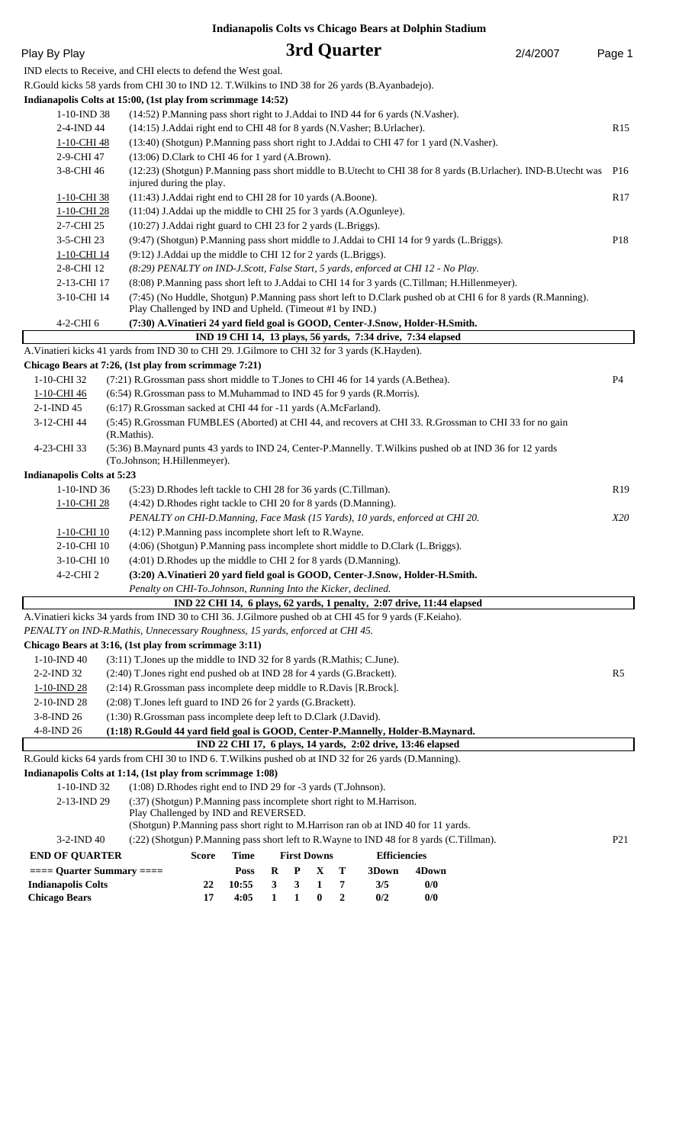|                                                                                                            |                                                                                   |                                                                                                                                                                         |                      |              |                   |                    |                  |                     | Indianapolis Colts vs Chicago Bears at Dolphin Stadium                                                   |                                                                                                                |                 |
|------------------------------------------------------------------------------------------------------------|-----------------------------------------------------------------------------------|-------------------------------------------------------------------------------------------------------------------------------------------------------------------------|----------------------|--------------|-------------------|--------------------|------------------|---------------------|----------------------------------------------------------------------------------------------------------|----------------------------------------------------------------------------------------------------------------|-----------------|
| Play By Play                                                                                               |                                                                                   |                                                                                                                                                                         |                      |              |                   |                    | 3rd Quarter      |                     |                                                                                                          | 2/4/2007                                                                                                       | Page 1          |
| IND elects to Receive, and CHI elects to defend the West goal.                                             |                                                                                   |                                                                                                                                                                         |                      |              |                   |                    |                  |                     |                                                                                                          |                                                                                                                |                 |
| R.Gould kicks 58 yards from CHI 30 to IND 12. T. Wilkins to IND 38 for 26 yards (B.Ayanbadejo).            |                                                                                   |                                                                                                                                                                         |                      |              |                   |                    |                  |                     |                                                                                                          |                                                                                                                |                 |
| Indianapolis Colts at 15:00, (1st play from scrimmage 14:52)                                               |                                                                                   |                                                                                                                                                                         |                      |              |                   |                    |                  |                     |                                                                                                          |                                                                                                                |                 |
| 1-10-IND 38<br>(14:52) P.Manning pass short right to J.Addai to IND 44 for 6 yards (N.Vasher).             |                                                                                   |                                                                                                                                                                         |                      |              |                   |                    |                  |                     |                                                                                                          |                                                                                                                |                 |
| 2-4-IND 44                                                                                                 | (14:15) J.Addai right end to CHI 48 for 8 yards (N.Vasher; B.Urlacher).           |                                                                                                                                                                         |                      |              |                   |                    |                  |                     |                                                                                                          | R15                                                                                                            |                 |
| 1-10-CHI 48                                                                                                |                                                                                   |                                                                                                                                                                         |                      |              |                   |                    |                  |                     | (13:40) (Shotgun) P.Manning pass short right to J.Addai to CHI 47 for 1 yard (N.Vasher).                 |                                                                                                                |                 |
| 2-9-CHI 47                                                                                                 |                                                                                   | (13:06) D.Clark to CHI 46 for 1 yard (A.Brown).                                                                                                                         |                      |              |                   |                    |                  |                     |                                                                                                          |                                                                                                                |                 |
| 3-8-CHI 46                                                                                                 |                                                                                   | injured during the play.                                                                                                                                                |                      |              |                   |                    |                  |                     |                                                                                                          | (12:23) (Shotgun) P.Manning pass short middle to B.Utecht to CHI 38 for 8 yards (B.Urlacher). IND-B.Utecht was | P <sub>16</sub> |
| 1-10-CHI 38                                                                                                |                                                                                   | (11:43) J.Addai right end to CHI 28 for 10 yards (A.Boone).                                                                                                             |                      |              |                   |                    |                  |                     |                                                                                                          |                                                                                                                | R17             |
| 1-10-CHI 28                                                                                                |                                                                                   | (11:04) J.Addai up the middle to CHI 25 for 3 yards (A.Ogunleye).                                                                                                       |                      |              |                   |                    |                  |                     |                                                                                                          |                                                                                                                |                 |
| 2-7-CHI 25                                                                                                 |                                                                                   | (10:27) J.Addai right guard to CHI 23 for 2 yards (L.Briggs).                                                                                                           |                      |              |                   |                    |                  |                     |                                                                                                          |                                                                                                                |                 |
| 3-5-CHI 23                                                                                                 |                                                                                   |                                                                                                                                                                         |                      |              |                   |                    |                  |                     | (9:47) (Shotgun) P.Manning pass short middle to J.Addai to CHI 14 for 9 yards (L.Briggs).                |                                                                                                                | P <sub>18</sub> |
| 1-10-CHI 14<br>2-8-CHI 12                                                                                  |                                                                                   | (9:12) J.Addai up the middle to CHI 12 for 2 yards (L.Briggs).                                                                                                          |                      |              |                   |                    |                  |                     |                                                                                                          |                                                                                                                |                 |
| 2-13-CHI 17                                                                                                |                                                                                   | (8:29) PENALTY on IND-J.Scott, False Start, 5 yards, enforced at CHI 12 - No Play.                                                                                      |                      |              |                   |                    |                  |                     |                                                                                                          |                                                                                                                |                 |
| 3-10-CHI 14                                                                                                |                                                                                   | (8:08) P.Manning pass short left to J.Addai to CHI 14 for 3 yards (C.Tillman; H.Hillenmeyer).                                                                           |                      |              |                   |                    |                  |                     |                                                                                                          |                                                                                                                |                 |
|                                                                                                            |                                                                                   | (7:45) (No Huddle, Shotgun) P.Manning pass short left to D.Clark pushed ob at CHI 6 for 8 yards (R.Manning).<br>Play Challenged by IND and Upheld. (Timeout #1 by IND.) |                      |              |                   |                    |                  |                     |                                                                                                          |                                                                                                                |                 |
| 4-2-CHI 6                                                                                                  |                                                                                   |                                                                                                                                                                         |                      |              |                   |                    |                  |                     | (7:30) A.Vinatieri 24 yard field goal is GOOD, Center-J.Snow, Holder-H.Smith.                            |                                                                                                                |                 |
|                                                                                                            |                                                                                   |                                                                                                                                                                         |                      |              |                   |                    |                  |                     | IND 19 CHI 14, 13 plays, 56 yards, 7:34 drive, 7:34 elapsed                                              |                                                                                                                |                 |
| A. Vinatieri kicks 41 yards from IND 30 to CHI 29. J. Gilmore to CHI 32 for 3 yards (K. Hayden).           |                                                                                   |                                                                                                                                                                         |                      |              |                   |                    |                  |                     |                                                                                                          |                                                                                                                |                 |
| Chicago Bears at 7:26, (1st play from scrimmage 7:21)                                                      |                                                                                   |                                                                                                                                                                         |                      |              |                   |                    |                  |                     |                                                                                                          |                                                                                                                |                 |
| 1-10-CHI 32                                                                                                | (7:21) R.Grossman pass short middle to T.Jones to CHI 46 for 14 yards (A.Bethea). |                                                                                                                                                                         |                      |              |                   |                    |                  |                     |                                                                                                          |                                                                                                                | P4              |
| 1-10-CHI 46                                                                                                | (6:54) R.Grossman pass to M.Muhammad to IND 45 for 9 yards (R.Morris).            |                                                                                                                                                                         |                      |              |                   |                    |                  |                     |                                                                                                          |                                                                                                                |                 |
| $2-1$ -IND 45                                                                                              | (6:17) R.Grossman sacked at CHI 44 for -11 yards (A.McFarland).                   |                                                                                                                                                                         |                      |              |                   |                    |                  |                     |                                                                                                          |                                                                                                                |                 |
| 3-12-CHI 44                                                                                                |                                                                                   |                                                                                                                                                                         |                      |              |                   |                    |                  |                     |                                                                                                          | (5:45) R.Grossman FUMBLES (Aborted) at CHI 44, and recovers at CHI 33. R.Grossman to CHI 33 for no gain        |                 |
| 4-23-CHI 33                                                                                                | (R.Mathis).                                                                       |                                                                                                                                                                         |                      |              |                   |                    |                  |                     | (5:36) B.Maynard punts 43 yards to IND 24, Center-P.Mannelly. T.Wilkins pushed ob at IND 36 for 12 yards |                                                                                                                |                 |
|                                                                                                            | (To.Johnson; H.Hillenmeyer).                                                      |                                                                                                                                                                         |                      |              |                   |                    |                  |                     |                                                                                                          |                                                                                                                |                 |
| <b>Indianapolis Colts at 5:23</b>                                                                          |                                                                                   |                                                                                                                                                                         |                      |              |                   |                    |                  |                     |                                                                                                          |                                                                                                                |                 |
| 1-10-IND 36                                                                                                |                                                                                   | (5:23) D.Rhodes left tackle to CHI 28 for 36 yards (C.Tillman).                                                                                                         |                      |              |                   |                    |                  |                     |                                                                                                          |                                                                                                                | R <sub>19</sub> |
| 1-10-CHI 28                                                                                                |                                                                                   | (4:42) D.Rhodes right tackle to CHI 20 for 8 yards (D.Manning).                                                                                                         |                      |              |                   |                    |                  |                     |                                                                                                          |                                                                                                                |                 |
| PENALTY on CHI-D.Manning, Face Mask (15 Yards), 10 yards, enforced at CHI 20.                              |                                                                                   |                                                                                                                                                                         |                      |              |                   |                    | X20              |                     |                                                                                                          |                                                                                                                |                 |
| <u>1-10-CHI 10</u>                                                                                         |                                                                                   | $(4:12)$ P.Manning pass incomplete short left to R.Wayne.                                                                                                               |                      |              |                   |                    |                  |                     |                                                                                                          |                                                                                                                |                 |
| 2-10-CHI 10                                                                                                |                                                                                   |                                                                                                                                                                         |                      |              |                   |                    |                  |                     | (4:06) (Shotgun) P.Manning pass incomplete short middle to D.Clark (L.Briggs).                           |                                                                                                                |                 |
| 3-10-CHI 10                                                                                                |                                                                                   | (4:01) D.Rhodes up the middle to CHI 2 for 8 yards (D.Manning).                                                                                                         |                      |              |                   |                    |                  |                     |                                                                                                          |                                                                                                                |                 |
| 4-2-CHI 2                                                                                                  |                                                                                   |                                                                                                                                                                         |                      |              |                   |                    |                  |                     | (3:20) A.Vinatieri 20 yard field goal is GOOD, Center-J.Snow, Holder-H.Smith.                            |                                                                                                                |                 |
|                                                                                                            |                                                                                   | Penalty on CHI-To.Johnson, Running Into the Kicker, declined.                                                                                                           |                      |              |                   |                    |                  |                     |                                                                                                          |                                                                                                                |                 |
| A. Vinatieri kicks 34 yards from IND 30 to CHI 36. J. Gilmore pushed ob at CHI 45 for 9 yards (F. Keiaho). |                                                                                   |                                                                                                                                                                         |                      |              |                   |                    |                  |                     | IND 22 CHI 14, 6 plays, 62 yards, 1 penalty, 2:07 drive, 11:44 elapsed                                   |                                                                                                                |                 |
| PENALTY on IND-R.Mathis, Unnecessary Roughness, 15 yards, enforced at CHI 45.                              |                                                                                   |                                                                                                                                                                         |                      |              |                   |                    |                  |                     |                                                                                                          |                                                                                                                |                 |
| Chicago Bears at 3:16, (1st play from scrimmage 3:11)                                                      |                                                                                   |                                                                                                                                                                         |                      |              |                   |                    |                  |                     |                                                                                                          |                                                                                                                |                 |
| 1-10-IND 40                                                                                                | (3:11) T.Jones up the middle to IND 32 for 8 yards (R.Mathis; C.June).            |                                                                                                                                                                         |                      |              |                   |                    |                  |                     |                                                                                                          |                                                                                                                |                 |
| 2-2-IND 32                                                                                                 |                                                                                   |                                                                                                                                                                         |                      |              |                   |                    |                  |                     |                                                                                                          |                                                                                                                | R <sub>5</sub>  |
| 1-10-IND 28                                                                                                |                                                                                   | (2:40) T.Jones right end pushed ob at IND 28 for 4 yards (G.Brackett).<br>(2:14) R.Grossman pass incomplete deep middle to R.Davis [R.Brock].                           |                      |              |                   |                    |                  |                     |                                                                                                          |                                                                                                                |                 |
| 2-10-IND 28                                                                                                |                                                                                   | (2:08) T.Jones left guard to IND 26 for 2 yards (G.Brackett).                                                                                                           |                      |              |                   |                    |                  |                     |                                                                                                          |                                                                                                                |                 |
| 3-8-IND 26                                                                                                 | (1:30) R.Grossman pass incomplete deep left to D.Clark (J.David).                 |                                                                                                                                                                         |                      |              |                   |                    |                  |                     |                                                                                                          |                                                                                                                |                 |
| 4-8-IND 26                                                                                                 |                                                                                   |                                                                                                                                                                         |                      |              |                   |                    |                  |                     | (1:18) R.Gould 44 yard field goal is GOOD, Center-P.Mannelly, Holder-B.Maynard.                          |                                                                                                                |                 |
|                                                                                                            |                                                                                   |                                                                                                                                                                         |                      |              |                   |                    |                  |                     | IND 22 CHI 17, 6 plays, 14 yards, 2:02 drive, 13:46 elapsed                                              |                                                                                                                |                 |
| R.Gould kicks 64 yards from CHI 30 to IND 6. T. Wilkins pushed ob at IND 32 for 26 yards (D.Manning).      |                                                                                   |                                                                                                                                                                         |                      |              |                   |                    |                  |                     |                                                                                                          |                                                                                                                |                 |
| Indianapolis Colts at 1:14, (1st play from scrimmage 1:08)                                                 |                                                                                   |                                                                                                                                                                         |                      |              |                   |                    |                  |                     |                                                                                                          |                                                                                                                |                 |
| 1-10-IND 32                                                                                                |                                                                                   | (1:08) D.Rhodes right end to IND 29 for -3 yards (T.Johnson).                                                                                                           |                      |              |                   |                    |                  |                     |                                                                                                          |                                                                                                                |                 |
| 2-13-IND 29                                                                                                |                                                                                   | (:37) (Shotgun) P.Manning pass incomplete short right to M.Harrison.<br>Play Challenged by IND and REVERSED.                                                            |                      |              |                   |                    |                  |                     |                                                                                                          |                                                                                                                |                 |
| 3-2-IND 40                                                                                                 |                                                                                   |                                                                                                                                                                         |                      |              |                   |                    |                  |                     | (Shotgun) P.Manning pass short right to M.Harrison ran ob at IND 40 for 11 yards.                        |                                                                                                                | P <sub>21</sub> |
|                                                                                                            |                                                                                   |                                                                                                                                                                         |                      |              |                   |                    |                  |                     | (:22) (Shotgun) P.Manning pass short left to R.Wayne to IND 48 for 8 yards (C.Tillman).                  |                                                                                                                |                 |
| <b>END OF QUARTER</b>                                                                                      |                                                                                   | <b>Score</b>                                                                                                                                                            | <b>Time</b>          |              |                   | <b>First Downs</b> |                  | <b>Efficiencies</b> |                                                                                                          |                                                                                                                |                 |
| $==$ Quarter Summary $==$<br><b>Indianapolis Colts</b>                                                     |                                                                                   | 22                                                                                                                                                                      | <b>Poss</b><br>10:55 | $\bf R$<br>3 | $\mathbf{P}$<br>3 | $\mathbf X$<br>1   | T<br>7           | 3Down<br>3/5        | 4Down<br>0/0                                                                                             |                                                                                                                |                 |
| <b>Chicago Bears</b>                                                                                       |                                                                                   | 17                                                                                                                                                                      | 4:05                 | $\mathbf{1}$ | 1                 | $\bf{0}$           | $\boldsymbol{2}$ | 0/2                 | 0/0                                                                                                      |                                                                                                                |                 |
|                                                                                                            |                                                                                   |                                                                                                                                                                         |                      |              |                   |                    |                  |                     |                                                                                                          |                                                                                                                |                 |